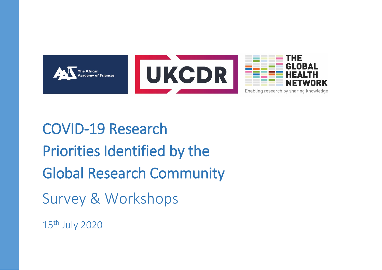



COVID-19 Research Priorities Identified by the Global Research Community Survey & Workshops 15th July 2020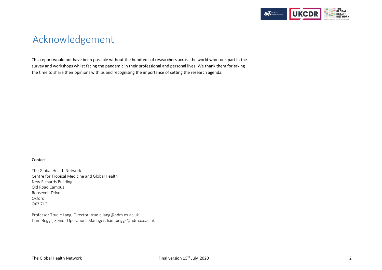

# Acknowledgement

This report would not have been possible without the hundreds of researchers across the world who took part in the survey and workshops whilst facing the pandemic in their professional and personal lives. We thank them for taking the time to share their opinions with us and recognising the importance of setting the research agenda.

#### Contact

The Global Health Network Centre for Tropical Medicine and Global Health New Richards Building Old Road Campus Roosevelt Drive Oxford OX3 7LG

Professor Trudie Lang, Director: trudie.lang@ndm.ox.ac.uk Liam Boggs, Senior Operations Manager: liam.boggs@ndm.ox.ac.uk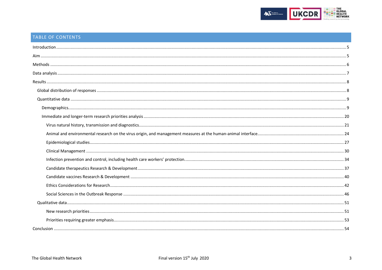

# TABLE OF CONTENTS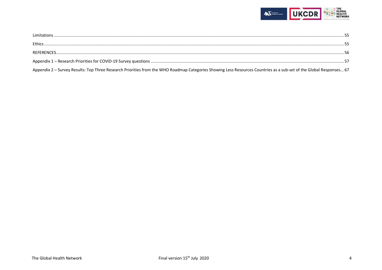

| Limitations                                                                                                                                                         |  |
|---------------------------------------------------------------------------------------------------------------------------------------------------------------------|--|
|                                                                                                                                                                     |  |
|                                                                                                                                                                     |  |
|                                                                                                                                                                     |  |
| Appendix 2 - Survey Results: Top Three Research Priorities from the WHO Roadmap Categories Showing Less Resources Countries as a sub-set of the Global Responses 67 |  |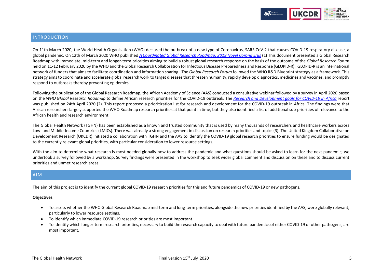

## <span id="page-4-0"></span>INTRODUCTION

On 11th March 2020, the World Health Organisation (WHO) declared the outbreak of a new type of Coronavirus, SARS-CoV-2 that causes COVID-19 respiratory disease, a global pandemic. On 12th of March 2020 WHO published *[A Coordinated Global Research Roadmap: 2019 Novel Coronavirus](https://www.who.int/publications/m/item/a-coordinated-global-research-roadmap)* (1) This document presented a Global Research Roadmap with immediate, mid-term and longer-term priorities aiming to build a robust global research response on the basis of the outcome of the *Global Research Forum* held on 11-12 February 2020 by the WHO and the Global Research Collaboration for Infectious Disease Preparedness and Response (GLOPID-R). GLOPID-R is an international network of funders that aims to facilitate coordination and information sharing. The *Global Research Forum* followed the WHO R&D Blueprint strategy as a framework. This strategy aims to coordinate and accelerate global research work to target diseases that threaten humanity, rapidly develop diagnostics, medicines and vaccines, and promptly respond to outbreaks thereby preventing epidemics.

Following the publication of the Global Research Roadmap, the African Academy of Science (AAS) conducted a consultative webinar followed by a survey in April 2020 based on the *WHO Global Research Roadmap* to define African research priorities for the COVID-19 outbreak. The *[Research and Development goals for COVID-19 in Africa](https://www.aasciences.africa/sites/default/files/2020-04/Research%20and%20Development%20Goals%20for%20COVID-19%20in%20Africa.pdf)* report was published on 24th April 2020 (2). This report proposed a prioritization list for research and development for the COVID-19 outbreak in Africa. The findings were that African researchers largely supported the WHO Roadmap research priorities at that point in time, but they also identified a list of additional sub-priorities of relevance to the African health and research environment.

The Global Health Network (TGHN) has been established as a known and trusted community that is used by many thousands of researchers and healthcare workers across Low- and Middle-Income Countries (LMICs). There was already a strong engagement in discussion on research priorities and topics (3). The United Kingdom Collaborative on Development Research (UKCDR) initiated a collaboration with TGHN and the AAS to identify the COVID-19 global research priorities to ensure funding would be designated to the currently relevant global priorities, with particular consideration to lower resource settings.

With the aim to determine what research is most needed globally now to address the pandemic and what questions should be asked to learn for the next pandemic, we undertook a survey followed by a workshop. Survey findings were presented in the workshop to seek wider global comment and discussion on these and to discuss current priorities and unmet research areas.

## <span id="page-4-1"></span>AIM

The aim of this project is to identify the current global COVID-19 research priorities for this and future pandemics of COVID-19 or new pathogens.

#### **Objectives**

- To assess whether the WHO Global Research Roadmap mid-term and long-term priorities, alongside the new priorities identified by the AAS, were globally relevant, particularly to lower resource settings.
- To identify which immediate COVID-19 research priorities are most important.
- To identify which longer-term research priorities, necessary to build the research capacity to deal with future pandemics of either COVID-19 or other pathogens, are most important.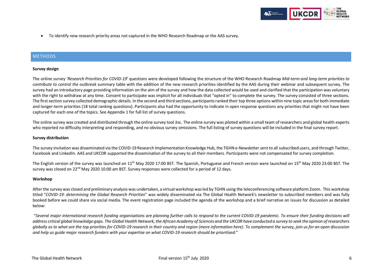

• To identify new research priority areas not captured in the WHO Research Roadmap or the AAS survey.

## <span id="page-5-0"></span>**METHODS**

#### **Survey design**

The online survey '*Research Priorities for COVID-19*' questions were developed following the structure of the WHO Research Roadmap *Mid-term and long-term priorities to contribute to control the outbreak* summary table with the addition of the new research priorities identified by the AAS during their webinar and subsequent survey. The survey had an introductory page providing information on the aim of the survey and how the data collected would be used and clarified that the participation was voluntary with the right to withdraw at any time. Consent to participate was implicit for all individuals that "opted in" to complete the survey. The survey consisted of three sections. The first section survey collected demographic details. In the second and third sections, participants ranked their top three options within nine topic areasfor both immediate and longer-term priorities (18 total ranking questions). Participants also had the opportunity to indicate in open response questions any priorities that might not have been captured for each one of the topics. See Appendix 1 for full list of survey questions.

The online survey was created and distributed through the online survey tool Jisc. The online survey was piloted within a small team of researchers and global health experts who reported no difficulty interpreting and responding, and no obvious survey omissions. The full listing of survey questions will be included in the final survey report.

#### **Survey distribution**

The survey invitation was disseminated via the COVID-19 Research Implementation Knowledge Hub, the TGHN e-Newsletter sent to all subscribed users, and through Twitter, Facebook and LinkedIn. AAS and UKCDR supported the dissemination of the survey to all their members. Participants were not compensated for survey completion.

The English version of the survey was launched on 11<sup>th</sup> May 2020 17:00 BST. The Spanish, Portuguese and French version were launched on 15<sup>th</sup> May 2020 23:00 BST. The survey was closed on 22<sup>nd</sup> May 2020 10:00 am BST. Survey responses were collected for a period of 12 days.

#### **Workshop**

After the survey was closed and preliminary analysis was undertaken, a virtual workshop was led by TGHN using the teleconferencing software platform Zoom. This workshop titled "*COVID-19: determining the Global Research Priorities*" was widely disseminated via The Global Health Network's newsletter to subscribed members and was fully booked before we could share via social media. The event registration page included the agenda of the workshop and a brief narrative on issues for discussion as detailed below:

"*Several major international research funding organisations are planning further calls to respond to the current COVID-19 pandemic. To ensure their funding decisions will address critical global knowledge gaps. The Global Health Network, the African Academy of Sciences and the UKCDR have conducted a survey to seek the opinion of researchers globally as to what are the top priorities for COVID-19 research in their country and region (more information here). To complement the survey, join us for an open discussion and help us guide major research funders with your expertise on what COVID-19 research should be prioritised*."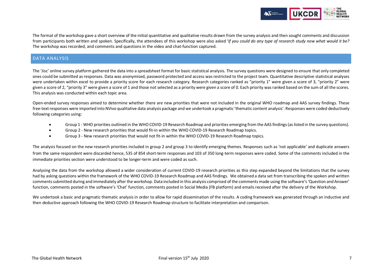

The format of the workshop gave a short overview of the initial quantitative and qualitative results drawn from the survey analysis and then sought comments and discussion from participants both written and spoken. Specifically, the attendees of this workshop were also asked '*If you could do any type of research study now what would it be?* The workshop was recorded, and comments and questions in the video and chat-function captured.

## <span id="page-6-0"></span>DATA ANALYSIS

The 'Jisc' online survey platform gathered the data into a spreadsheet format for basic statistical analysis. The survey questions were designed to ensure that only completed ones could be submitted as responses. Data was anonymised, password protected and access was restricted to the project team. Quantitative descriptive statistical analyses were undertaken within excel to provide a priority score for each research category. Research categories ranked as "priority 1" were given a score of 3, "priority 2" were given a score of 2, "priority 3" were given a score of 1 and those not selected as a priority were given a score of 0. Each priority was ranked based on the sum of all the scores. This analysis was conducted within each topic area.

Open-ended survey responses aimed to determine whether there are new priorities that were not included in the original WHO roadmap and AAS survey findings. These free-text responses were imported into NVivo qualitative data analysis package and we undertook a pragmatic 'thematic content analysis'. Responses were coded deductively following categories using:

- Group 1 WHO priorities outlined in the WHO COVID-19 Research Roadmap and priorities emerging from the AAS findings (as listed in the survey questions).
- Group 2 New research priorities that would fit-in within the WHO COVID-19 Research Roadmap topics.
- Group 3 New research priorities that would not fit-in within the WHO COVID-19 Research Roadmap topics.

The analysis focused on the new research priorities included in group 2 and group 3 to identify emerging themes. Responses such as 'not applicable' and duplicate answers from the same respondent were discarded hence, 535 of 854 short-term responses and 103 of 350 long-term responses were coded. Some of the comments included in the immediate priorities section were understood to be longer-term and were coded as such.

Analysing the data from the workshop allowed a wider consideration of current COVID-19 research priorities as this step expanded beyond the limitations that the survey had by asking questions within the framework of the WHO COVID-19 Research Roadmap and AAS findings. We obtained a data set from transcribing the spoken and written comments submitted during and immediately after the workshop. Data included in this analysis comprised of the comments made using the software's 'Question and Answer' function, comments posted in the software's 'Chat' function, comments posted in Social Media (FB platform) and emails received after the delivery of the Workshop.

<span id="page-6-1"></span>We undertook a basic and pragmatic thematic analysis in order to allow for rapid dissemination of the results. A coding framework was generated through an inductive and then deductive approach following the WHO COVID-19 Research Roadmap structure to facilitate interpretation and comparison.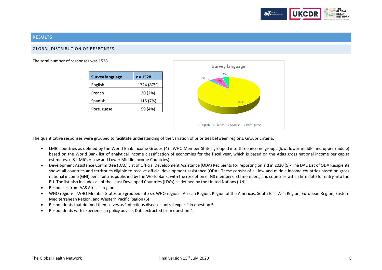

## **RESULTS**

#### <span id="page-7-0"></span>GLOBAL DISTRIBUTION OF RESPONSES

The total number of responses was 1528.

| <b>Survey language</b> | $n = 1528$ |
|------------------------|------------|
| English                | 1324 (87%) |
| French                 | 30(2%)     |
| Spanish                | 115 (7%)   |
| Portuguese             | 59 (4%)    |



The quantitative responses were grouped to facilitate understanding of the variation of priorities between regions. Groups criteria:

- LMIC countries as defined by the World Bank Income Groups (4) WHO Member States grouped into three income groups (low, lower-middle and upper-middle) based on the World Bank list of analytical income classification of economies for the fiscal year, which is based on the Atlas gross national income per capita estimates. (L&L-MICs = Low and Lower Middle Income Countries).
- Development Assistance Committee (DAC) List of Official Development Assistance (ODA) Recipients for reporting on aid in 2020 (5)- The DAC List of ODA Recipients shows all countries and territories eligible to receive official development assistance (ODA). These consist of all low and middle income countries based on gross national income (GNI) per capita as published by the World Bank, with the exception of G8 members, EU members, and countries with a firm date for entry into the EU. The list also includes all of the Least Developed Countries (LDCs) as defined by the United Nations (UN).
- Responses from AAS Africa's region.
- WHO regions WHO Member States are grouped into six WHO regions: African Region, Region of the Americas, South-East Asia Region, European Region, Eastern Mediterranean Region, and Western Pacific Region (6)
- Respondents that defined themselves as "Infectious disease control expert" in question 5.
- Respondents with experience in policy advice. Data extracted from question 4.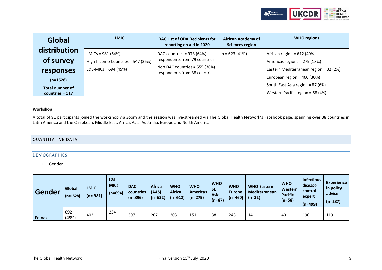

| Global                 | <b>LMIC</b>                       | DAC List of ODA Recipients for<br>reporting on aid in 2020     | <b>African Academy of</b><br><b>Sciences region</b> | <b>WHO</b> regions                     |
|------------------------|-----------------------------------|----------------------------------------------------------------|-----------------------------------------------------|----------------------------------------|
| distribution           | $LMICS = 981 (64%)$               | DAC countries = 973 (64%)                                      | $n = 623(41%)$                                      | African region = $612$ (40%)           |
| of survey              | High Income Countries = 547 (36%) | respondents from 79 countries                                  |                                                     | Americas regions = 279 (18%)           |
| responses              | L&L-MICs = 694 (45%)              | Non DAC countries = 555 (36%)<br>respondents from 38 countries |                                                     | Eastern Mediterranean region = 32 (2%) |
| $(n=1528)$             |                                   |                                                                |                                                     | European region = $460(30%)$           |
| <b>Total number of</b> |                                   |                                                                |                                                     | South East Asia region = 87 (6%)       |
| countries = $117$      |                                   |                                                                |                                                     | Western Pacific region = 58 (4%)       |

## **Workshop**

A total of 91 participants joined the workshop via Zoom and the session was live-streamed via The Global Health Network's Facebook page, spanning over 38 countries in Latin America and the Caribbean, Middle East, Africa, Asia, Australia, Europe and North America.

## <span id="page-8-1"></span><span id="page-8-0"></span>QUANTITATIVE DATA

#### DEMOGRAPHICS

1. Gender

| Gender | Global<br>$(n=1528)$ | <b>LMIC</b><br>$(n = 981)$ | <b>L&amp;L-</b><br><b>MICs</b><br>$(n=694)$ | <b>DAC</b><br>countries<br>$(n=896)$ | <b>Africa</b><br>(AAS)<br>$(n=632)$ | <b>WHO</b><br><b>Africa</b><br>$(n=612)$ | <b>WHO</b><br><b>Americas</b><br>$(n=279)$ | <b>WHO</b><br><b>SE</b><br>Asia<br>(n=87) | <b>WHO</b><br><b>Europe</b><br>$(n=460)$ | <b>WHO Eastern</b><br><b>Mediterranean</b><br>$(n=32)$ | <b>WHO</b><br>Western<br><b>Pacific</b><br>$(n=58)$ | <b>Infectious</b><br>disease<br>control<br>expert<br>$(n=499)$ | <b>Experience</b><br>in policy<br>advice<br>$(n=287)$ |
|--------|----------------------|----------------------------|---------------------------------------------|--------------------------------------|-------------------------------------|------------------------------------------|--------------------------------------------|-------------------------------------------|------------------------------------------|--------------------------------------------------------|-----------------------------------------------------|----------------------------------------------------------------|-------------------------------------------------------|
| Female | 692<br>(45%)         | 402                        | 234                                         | 397                                  | 207                                 | 203                                      | 151                                        | 38                                        | 243                                      | 14                                                     | 40                                                  | 196                                                            | 119                                                   |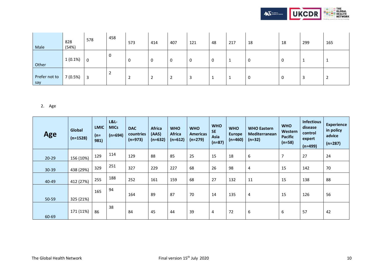

| Male                 | 828<br>(54%) | 578 | 458 | 573 | 414     | 407    | 121 | 48 | 217 | 18 | 18 | 299 | 165 |
|----------------------|--------------|-----|-----|-----|---------|--------|-----|----|-----|----|----|-----|-----|
| Other                | $1(0.1\%)$   |     |     | 0   | 0       | C<br>U | 0   |    |     | 0  | 0  |     |     |
| Prefer not to<br>say | 7 (0.5%)     | 3   | ∸   | ຳ   | ſ.<br>▵ | ำ      | 3   |    |     | 0  | 0  | В   |     |

## 2. Age

| <b>Age</b> | Global<br>$(n=1528)$ | <b>LMIC</b><br>(n=<br>981) | <b>L&amp;L-</b><br><b>MICs</b><br>$(n=694)$ | <b>DAC</b><br>countries<br>$(n=973)$ | <b>Africa</b><br>(AAS)<br>$(n=632)$ | <b>WHO</b><br><b>Africa</b><br>$(n=612)$ | <b>WHO</b><br><b>Americas</b><br>$(n=279)$ | <b>WHO</b><br><b>SE</b><br>Asia<br>$(n=87)$ | <b>WHO</b><br><b>Europe</b><br>$(n=460)$ | <b>WHO Eastern</b><br>Mediterranean<br>$(n=32)$ | <b>WHO</b><br>Western<br><b>Pacific</b><br>$(n=58)$ | <b>Infectious</b><br>disease<br>control<br>expert<br>$(n=499)$ | <b>Experience</b><br>in policy<br>advice<br>$(n=287)$ |
|------------|----------------------|----------------------------|---------------------------------------------|--------------------------------------|-------------------------------------|------------------------------------------|--------------------------------------------|---------------------------------------------|------------------------------------------|-------------------------------------------------|-----------------------------------------------------|----------------------------------------------------------------|-------------------------------------------------------|
| $20 - 29$  | 156 (10%)            | 129                        | 114                                         | 129                                  | 88                                  | 85                                       | 25                                         | 15                                          | 18                                       | 6                                               | $\overline{7}$                                      | 27                                                             | 24                                                    |
| $30 - 39$  | 438 (29%)            | 329                        | 251                                         | 327                                  | 229                                 | 227                                      | 68                                         | 26                                          | 98                                       | 4                                               | 15                                                  | 142                                                            | 70                                                    |
| 40-49      | 412 (27%)            | 255                        | 188                                         | 252                                  | 161                                 | 159                                      | 68                                         | 27                                          | 132                                      | 11                                              | 15                                                  | 138                                                            | 88                                                    |
| 50-59      | 325 (21%)            | 165                        | 94                                          | 164                                  | 89                                  | 87                                       | 70                                         | 14                                          | 135                                      | 4                                               | 15                                                  | 126                                                            | 56                                                    |
| 60-69      | 171 (11%)            | 86                         | 38                                          | 84                                   | 45                                  | 44                                       | 39                                         | 4                                           | 72                                       | 6                                               | 6                                                   | 57                                                             | 42                                                    |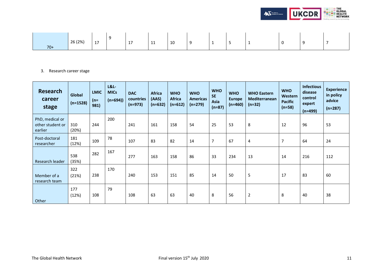

|       | 26 (2%) | 17 | 17 | $\overline{11}$<br>- - - - - | 10 |  | -<br>ັ | w |  |
|-------|---------|----|----|------------------------------|----|--|--------|---|--|
| $70+$ |         |    |    |                              |    |  |        |   |  |

## 3. Research career stage

| <b>Research</b><br>career<br>stage             | Global<br>$(n=1528)$ | <b>LMIC</b><br>$(n=$<br>981) | L&L<br><b>MICs</b><br>$(n=694)$ | <b>DAC</b><br>countries<br>$(n=973)$ | <b>Africa</b><br>(AAS)<br>$(n=632)$ | <b>WHO</b><br><b>Africa</b><br>$(n=612)$ | <b>WHO</b><br><b>Americas</b><br>$(n=279)$ | <b>WHO</b><br><b>SE</b><br>Asia<br>$(n=87)$ | <b>WHO</b><br><b>Europe</b><br>$(n=460)$ | <b>WHO Eastern</b><br>Mediterranean<br>$(n=32)$ | <b>WHO</b><br>Western<br><b>Pacific</b><br>$(n=58)$ | <b>Infectious</b><br>disease<br>control<br>expert<br>$(n=499)$ | <b>Experience</b><br>in policy<br>advice<br>$(n=287)$ |
|------------------------------------------------|----------------------|------------------------------|---------------------------------|--------------------------------------|-------------------------------------|------------------------------------------|--------------------------------------------|---------------------------------------------|------------------------------------------|-------------------------------------------------|-----------------------------------------------------|----------------------------------------------------------------|-------------------------------------------------------|
| PhD, medical or<br>other student or<br>earlier | 310<br>(20%)         | 244                          | 200                             | 241                                  | 161                                 | 158                                      | 54                                         | 25                                          | 53                                       | 8                                               | 12                                                  | 96                                                             | 53                                                    |
| Post-doctoral<br>researcher                    | 181<br>(12%)         | 109                          | 78                              | 107                                  | 83                                  | 82                                       | 14                                         | $\overline{7}$                              | 67                                       | 4                                               | $\overline{7}$                                      | 64                                                             | 24                                                    |
| Research leader                                | 538<br>(35%)         | 282                          | 167                             | 277                                  | 163                                 | 158                                      | 86                                         | 33                                          | 234                                      | 13                                              | 14                                                  | 216                                                            | 112                                                   |
| Member of a<br>research team                   | 322<br>(21%)         | 238                          | 170                             | 240                                  | 153                                 | 151                                      | 85                                         | 14                                          | 50                                       | 5                                               | 17                                                  | 83                                                             | 60                                                    |
| Other                                          | 177<br>(12%)         | 108                          | 79                              | 108                                  | 63                                  | 63                                       | 40                                         | 8                                           | 56                                       | $\overline{2}$                                  | 8                                                   | 40                                                             | 38                                                    |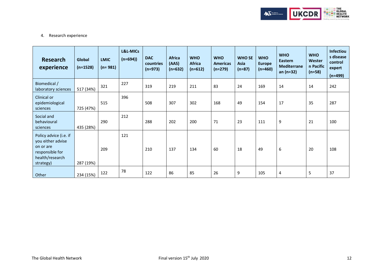

## 4. Research experience

| <b>Research</b><br>experience                                                                               | Global<br>$(n=1528)$ | <b>LMIC</b><br>$(n = 981)$ | L&L-MICs<br>$(n=694)$ | <b>DAC</b><br>countries<br>$(n=973)$ | <b>Africa</b><br>(AAS)<br>$(n=632)$ | <b>WHO</b><br><b>Africa</b><br>$(n=612)$ | <b>WHO</b><br><b>Americas</b><br>$(n=279)$ | <b>WHO SE</b><br>Asia<br>$(n=87)$ | <b>WHO</b><br><b>Europe</b><br>$(n=460)$ | <b>WHO</b><br>Eastern<br><b>Mediterrane</b><br>an $(n=32)$ | <b>WHO</b><br>Wester<br>n Pacific<br>$(n=58)$ | <b>Infectiou</b><br>s disease<br>control<br>expert<br>$(n=499)$ |
|-------------------------------------------------------------------------------------------------------------|----------------------|----------------------------|-----------------------|--------------------------------------|-------------------------------------|------------------------------------------|--------------------------------------------|-----------------------------------|------------------------------------------|------------------------------------------------------------|-----------------------------------------------|-----------------------------------------------------------------|
| Biomedical /<br>laboratory sciences                                                                         | 517 (34%)            | 321                        | 227                   | 319                                  | 219                                 | 211                                      | 83                                         | 24                                | 169                                      | 14                                                         | 14                                            | 242                                                             |
| Clinical or<br>epidemiological<br>sciences                                                                  | 725 (47%)            | 515                        | 396                   | 508                                  | 307                                 | 302                                      | 168                                        | 49                                | 154                                      | 17                                                         | 35                                            | 287                                                             |
| Social and<br>behavioural<br>sciences                                                                       | 435 (28%)            | 290                        | 212                   | 288                                  | 202                                 | 200                                      | 71                                         | 23                                | 111                                      | 9                                                          | 21                                            | 100                                                             |
| Policy advice (i.e. if<br>you either advise<br>on or are<br>responsible for<br>health/research<br>strategy) | 287 (19%)            | 209                        | 121                   | 210                                  | 137                                 | 134                                      | 60                                         | 18                                | 49                                       | 6                                                          | 20                                            | 108                                                             |
| Other                                                                                                       | 234 (15%)            | 122                        | 78                    | 122                                  | 86                                  | 85                                       | 26                                         | 9                                 | 105                                      | 4                                                          | 5                                             | 37                                                              |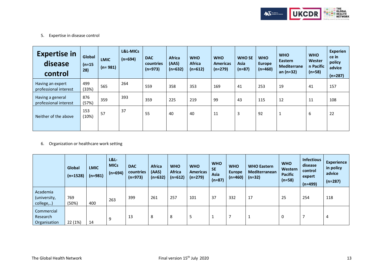

5. Expertise in disease control

| <b>Expertise in</b><br>disease<br>control | Global<br>$(n=15)$<br>28) | <b>LMIC</b><br>$(n = 981)$ | L&L-MICs<br>$(n=694)$ | <b>DAC</b><br>countries<br>$(n=973)$ | <b>Africa</b><br>(AAS)<br>$(n=632)$ | <b>WHO</b><br><b>Africa</b><br>$(n=612)$ | <b>WHO</b><br><b>Americas</b><br>$(n=279)$ | <b>WHO SE</b><br>Asia<br>$(n=87)$ | <b>WHO</b><br><b>Europe</b><br>$(n=460)$ | <b>WHO</b><br>Eastern<br><b>Mediterrane</b><br>$an(n=32)$ | <b>WHO</b><br>Wester<br>n Pacific<br>$(n=58)$ | <b>Experien</b><br>ce in<br>policy<br>advice<br>$(n=287)$ |
|-------------------------------------------|---------------------------|----------------------------|-----------------------|--------------------------------------|-------------------------------------|------------------------------------------|--------------------------------------------|-----------------------------------|------------------------------------------|-----------------------------------------------------------|-----------------------------------------------|-----------------------------------------------------------|
| Having an expert<br>professional interest | 499<br>(33%)              | 565                        | 264                   | 559                                  | 358                                 | 353                                      | 169                                        | 41                                | 253                                      | 19                                                        | 41                                            | 157                                                       |
| Having a general<br>professional interest | 876<br>(57%)              | 359                        | 393                   | 359                                  | 225                                 | 219                                      | 99                                         | 43                                | 115                                      | 12                                                        | 11                                            | 108                                                       |
| Neither of the above                      | 153<br>(10%)              | 57                         | 37                    | 55                                   | 40                                  | 40                                       | 11                                         | 3                                 | 92                                       | 1                                                         | 6                                             | 22                                                        |

6. Organization or healthcare work setting

|                                        | Global<br>$(n=1528)$ | <b>LMIC</b><br>$(n=981)$ | L&L<br><b>MICs</b><br>$(n=694)$ | <b>DAC</b><br>countries<br>$(n=973)$ | <b>Africa</b><br>(AAS)<br>$(n=632)$ | <b>WHO</b><br><b>Africa</b><br>$(n=612)$ | <b>WHO</b><br><b>Americas</b><br>$(n=279)$ | <b>WHO</b><br><b>SE</b><br>Asia<br>$(n=87)$ | <b>WHO</b><br><b>Europe</b><br>$(n=460)$ | <b>WHO Eastern</b><br>Mediterranean<br>$(n=32)$ | <b>WHO</b><br>Western<br><b>Pacific</b><br>$(n=58)$ | <b>Infectious</b><br>disease<br>control<br>expert<br>$(n=499)$ | <b>Experience</b><br>in policy<br>advice<br>$(n=287)$ |
|----------------------------------------|----------------------|--------------------------|---------------------------------|--------------------------------------|-------------------------------------|------------------------------------------|--------------------------------------------|---------------------------------------------|------------------------------------------|-------------------------------------------------|-----------------------------------------------------|----------------------------------------------------------------|-------------------------------------------------------|
| Academia<br>(university,<br>college,)  | 769<br>(50%)         | 400                      | 263                             | 399                                  | 261                                 | 257                                      | 101                                        | 37                                          | 332                                      | 17                                              | 25                                                  | 254                                                            | 118                                                   |
| Commercial<br>Research<br>Organisation | 22 (1%)              | 14                       | q                               | 13                                   | 8                                   | 8                                        |                                            | J.                                          | -                                        |                                                 |                                                     |                                                                | 4                                                     |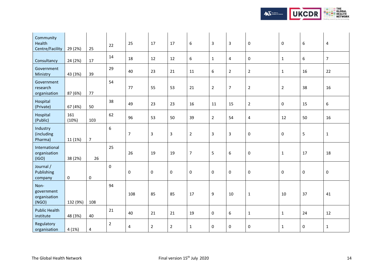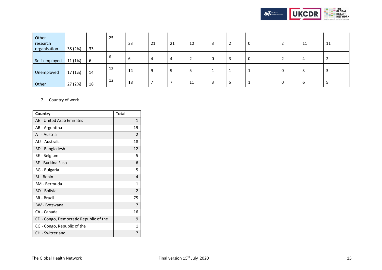

| Other<br>research<br>organisation | 38 (2%) | 33  | 25 | 33 | 21 | 21 | 10 |  | 0 | 11 | 11 |
|-----------------------------------|---------|-----|----|----|----|----|----|--|---|----|----|
| Self-employed                     | 11 (1%) | - 6 |    | ь  | 4  | 4  |    |  | 0 | 4  |    |
| Unemployed                        | 17 (1%) | 14  | 12 | 14 | 9  | 9  |    |  |   |    |    |
| Other                             | 27 (2%) | 18  | 12 | 18 |    |    | 11 |  |   | ь  |    |

## 7. Country of work

| Country                                | <b>Total</b>   |
|----------------------------------------|----------------|
| AE - United Arab Emirates              | $\mathbf{1}$   |
| AR - Argentina                         | 19             |
| AT - Austria                           | $\overline{2}$ |
| AU - Australia                         | 18             |
| BD - Bangladesh                        | 12             |
| BE - Belgium                           | 5              |
| <b>BF</b> - Burkina Faso               | 6              |
| BG - Bulgaria                          | 5              |
| <b>BJ</b> - Benin                      | 4              |
| <b>BM</b> - Bermuda                    | 1              |
| <b>BO</b> - Bolivia                    | 2              |
| <b>BR</b> - Brazil                     | 75             |
| <b>BW</b> - Botswana                   | 7              |
| CA - Canada                            | 16             |
| CD - Congo, Democratic Republic of the | 9              |
| CG - Congo, Republic of the            | 1              |
| CH - Switzerland                       | 7              |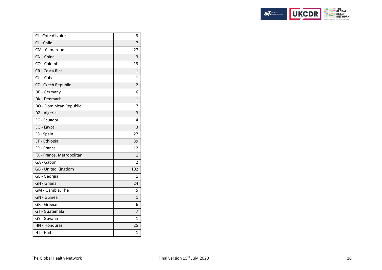

| CL - Chile<br>7<br>CM - Cameroon<br>27<br>CN - China<br>3<br>CO - Colombia<br>19<br>CR - Costa Rica<br>1<br>CU - Cuba<br>1<br>CZ - Czech Republic<br>$\overline{2}$<br>DE - Germany<br>6<br>DK - Denmark<br>$\overline{1}$<br>DO - Dominican Republic<br>7<br>DZ - Algeria<br>3<br>EC - Ecuador<br>4<br>3<br>EG - Egypt<br>ES - Spain<br>27<br>ET - Ethiopia<br>39<br>FR - France<br>12<br>FX - France, Metropolitan<br>1<br>GA - Gabon<br>2<br>GB - United Kingdom<br>102<br>GE - Georgia<br>1<br>GH - Ghana<br>24<br>GM - Gambia, The<br>5<br><b>GN</b> - Guinea<br>$\mathbf{1}$<br>GR - Greece<br>6<br>GT - Guatemala<br>7<br>GY - Guyana<br>1<br>HN - Honduras<br>25 | CI - Cote d'Ivoire | 9 |
|--------------------------------------------------------------------------------------------------------------------------------------------------------------------------------------------------------------------------------------------------------------------------------------------------------------------------------------------------------------------------------------------------------------------------------------------------------------------------------------------------------------------------------------------------------------------------------------------------------------------------------------------------------------------------|--------------------|---|
|                                                                                                                                                                                                                                                                                                                                                                                                                                                                                                                                                                                                                                                                          |                    |   |
|                                                                                                                                                                                                                                                                                                                                                                                                                                                                                                                                                                                                                                                                          |                    |   |
|                                                                                                                                                                                                                                                                                                                                                                                                                                                                                                                                                                                                                                                                          |                    |   |
|                                                                                                                                                                                                                                                                                                                                                                                                                                                                                                                                                                                                                                                                          |                    |   |
|                                                                                                                                                                                                                                                                                                                                                                                                                                                                                                                                                                                                                                                                          |                    |   |
|                                                                                                                                                                                                                                                                                                                                                                                                                                                                                                                                                                                                                                                                          |                    |   |
|                                                                                                                                                                                                                                                                                                                                                                                                                                                                                                                                                                                                                                                                          |                    |   |
|                                                                                                                                                                                                                                                                                                                                                                                                                                                                                                                                                                                                                                                                          |                    |   |
|                                                                                                                                                                                                                                                                                                                                                                                                                                                                                                                                                                                                                                                                          |                    |   |
|                                                                                                                                                                                                                                                                                                                                                                                                                                                                                                                                                                                                                                                                          |                    |   |
|                                                                                                                                                                                                                                                                                                                                                                                                                                                                                                                                                                                                                                                                          |                    |   |
|                                                                                                                                                                                                                                                                                                                                                                                                                                                                                                                                                                                                                                                                          |                    |   |
|                                                                                                                                                                                                                                                                                                                                                                                                                                                                                                                                                                                                                                                                          |                    |   |
|                                                                                                                                                                                                                                                                                                                                                                                                                                                                                                                                                                                                                                                                          |                    |   |
|                                                                                                                                                                                                                                                                                                                                                                                                                                                                                                                                                                                                                                                                          |                    |   |
|                                                                                                                                                                                                                                                                                                                                                                                                                                                                                                                                                                                                                                                                          |                    |   |
|                                                                                                                                                                                                                                                                                                                                                                                                                                                                                                                                                                                                                                                                          |                    |   |
|                                                                                                                                                                                                                                                                                                                                                                                                                                                                                                                                                                                                                                                                          |                    |   |
|                                                                                                                                                                                                                                                                                                                                                                                                                                                                                                                                                                                                                                                                          |                    |   |
|                                                                                                                                                                                                                                                                                                                                                                                                                                                                                                                                                                                                                                                                          |                    |   |
|                                                                                                                                                                                                                                                                                                                                                                                                                                                                                                                                                                                                                                                                          |                    |   |
|                                                                                                                                                                                                                                                                                                                                                                                                                                                                                                                                                                                                                                                                          |                    |   |
|                                                                                                                                                                                                                                                                                                                                                                                                                                                                                                                                                                                                                                                                          |                    |   |
|                                                                                                                                                                                                                                                                                                                                                                                                                                                                                                                                                                                                                                                                          |                    |   |
|                                                                                                                                                                                                                                                                                                                                                                                                                                                                                                                                                                                                                                                                          |                    |   |
|                                                                                                                                                                                                                                                                                                                                                                                                                                                                                                                                                                                                                                                                          |                    |   |
|                                                                                                                                                                                                                                                                                                                                                                                                                                                                                                                                                                                                                                                                          |                    |   |
|                                                                                                                                                                                                                                                                                                                                                                                                                                                                                                                                                                                                                                                                          | HT - Haiti         | 1 |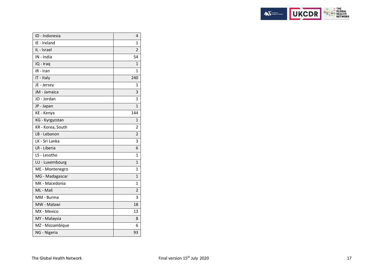

| ID - Indonesia    | 4              |
|-------------------|----------------|
| IE - Ireland      | 1              |
| IL - Israel       | $\overline{2}$ |
| IN - India        | 54             |
| IQ - Iraq         | 1              |
| IR - Iran         | 1              |
| IT - Italy        | 240            |
| JE - Jersey       | 1              |
| JM - Jamaica      | 3              |
| JO - Jordan       | $\mathbf 1$    |
| JP - Japan        | 1              |
| KE - Kenya        | 144            |
| KG - Kyrgyzstan   | $\overline{1}$ |
| KR - Korea, South | 2              |
| LB - Lebanon      | $\overline{2}$ |
| LK - Sri Lanka    | 3              |
| LR - Liberia      | 6              |
| LS - Lesotho      | 1              |
| LU - Luxembourg   | $\mathbf{1}$   |
| ME - Montenegro   | 1              |
| MG - Madagascar   | $\mathbf{1}$   |
| MK - Macedonia    | 1              |
| ML - Mali         | $\overline{2}$ |
| MM - Burma        | 3              |
| MW - Malawi       | 18             |
| MX - Mexico       | 13             |
| MY - Malaysia     | 8              |
| MZ - Mozambique   | 6              |
| NG - Nigeria      | 93             |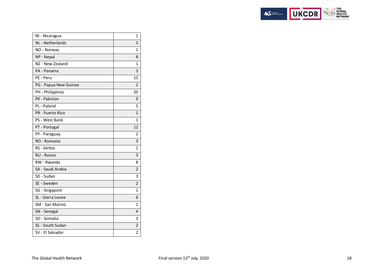

| NI - Nicaragua          | 1              |
|-------------------------|----------------|
| NL - Netherlands        | 3              |
| NO - Norway             | $\mathbf{1}$   |
| NP - Nepal              | 8              |
| NZ - New Zealand        | 1              |
| PA - Panama             | 3              |
| PE - Peru               | 15             |
| PG - Papua New Guinea   | 2              |
| PH - Philippines        | 20             |
| PK - Pakistan           | 9              |
| PL - Poland             | 5              |
| <b>PR</b> - Puerto Rico | $\mathbf{1}$   |
| PS - West Bank          | $\mathbf{1}$   |
| PT - Portugal           | 12             |
| PY - Paraguay           | 2              |
| RO - Romania            | 3              |
| RS - Serbia             | 1              |
| <b>RU - Russia</b>      | 3              |
| RW - Rwanda             | 8              |
| SA - Saudi Arabia       | $\overline{2}$ |
| SD - Sudan              | 3              |
| SE - Sweden             | $\overline{2}$ |
| SG - Singapore          | $\mathbf{1}$   |
| SL - Sierra Leone       | 6              |
| SM - San Marino         | 1              |
| SN - Senegal            | 4              |
| SO - Somalia            | 3              |
| SS - South Sudan        | $\overline{2}$ |
| SV - El Salvador        | $\overline{2}$ |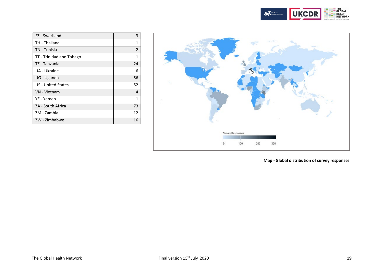

<span id="page-18-0"></span>

| SZ - Swaziland            | 3            |
|---------------------------|--------------|
| TH - Thailand             | 1            |
| TN - Tunisia              | 2            |
| TT - Trinidad and Tobago  | $\mathbf{1}$ |
| TZ - Tanzania             | 24           |
| UA - Ukraine              | 6            |
| UG - Uganda               | 56           |
| <b>US</b> - United States | 52           |
| VN - Vietnam              | 4            |
| YE - Yemen                | 1            |
| ZA - South Africa         | 73           |
| ZM - Zambia               | 12           |
| ZW - Zimbabwe             | 16           |



**Map - Global distribution of survey responses**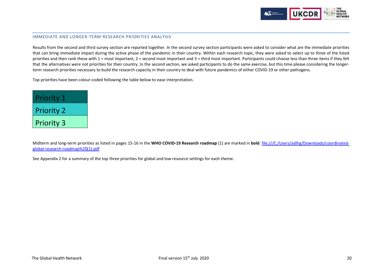

#### IMMEDIATE AND LONGER-TERM RESEARCH PRIORITIES ANALYSIS

Results from the second and third survey section are reported together. In the second survey section participants were asked to consider what are the immediate priorities that can bring immediate impact during the active phase of the pandemic in their country. Within each research topic, they were asked to select up to three of the listed priorities and then rank these with 1 = most important, 2 = second most important and 3 = third most important. Participants could choose less than three items if they felt that the alternatives were not priorities for their country. In the second section, we asked participants to do the same exercise, but this time please considering the longerterm research priorities necessary to build the research capacity in their country to deal with future pandemics of either COVID-19 or other pathogens.

Top priorities have been colour-coded following the table below to ease interpretation.

| <b>Priority 1</b> |
|-------------------|
| <b>Priority 2</b> |
| <b>Priority 3</b> |

Midterm and long-term priorities as listed in pages 15-16 in the **WHO COVID-19 Research roadmap** (1) are marked in **bold**. file:///C:/Users/adlhg/Downloads/coordinatedglobal-research-roadmap%20(1).pdf

<span id="page-19-0"></span>See Appendix 2 for a summary of the top three priorities for global and low resource settings for each theme.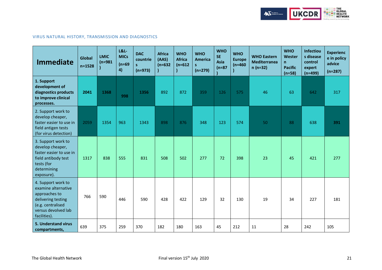

## VIRUS NATURAL HISTORY, TRANSMISSION AND DIAGNOSTICS

| <b>Immediate</b>                                                                                                                             | Global<br>$n = 1528$ | <b>LMIC</b><br>$(n=981)$ | $L&L$ -<br><b>MICs</b><br>$(n=69)$<br>4) | <b>DAC</b><br>countrie<br>S.<br>$(n=973)$ | <b>Africa</b><br>(AAS)<br>$(n=632)$ | <b>WHO</b><br><b>Africa</b><br>$(n=612)$ | <b>WHO</b><br><b>America</b><br>S<br>$(n=279)$ | <b>WHO</b><br><b>SE</b><br>Asia<br>$(n=87)$ | <b>WHO</b><br><b>Europe</b><br>$(n=460)$ | <b>WHO Eastern</b><br><b>Mediterranea</b><br>$n(n=32)$ | <b>WHO</b><br>Wester<br>n<br><b>Pacific</b><br>$(n=58)$ | Infectiou<br>s disease<br>control<br>expert<br>$(n=499)$ | <b>Experienc</b><br>e in policy<br>advice<br>$(n=287)$ |
|----------------------------------------------------------------------------------------------------------------------------------------------|----------------------|--------------------------|------------------------------------------|-------------------------------------------|-------------------------------------|------------------------------------------|------------------------------------------------|---------------------------------------------|------------------------------------------|--------------------------------------------------------|---------------------------------------------------------|----------------------------------------------------------|--------------------------------------------------------|
| 1. Support<br>development of<br>diagnostics products<br>to improve clinical<br>processes.                                                    | 2041                 | 1368                     | 998                                      | 1356                                      | 892                                 | 872                                      | 359                                            | 126                                         | 575                                      | 46                                                     | 63                                                      | 642                                                      | 317                                                    |
| 2. Support work to<br>develop cheaper,<br>faster easier to use in<br>field antigen tests<br>(for virus detection)                            | 2059                 | 1354                     | 963                                      | 1343                                      | 898                                 | 876                                      | 348                                            | 123                                         | 574                                      | 50                                                     | 88                                                      | 638                                                      | 391                                                    |
| 3. Support work to<br>develop cheaper,<br>faster easier to use in<br>field antibody test<br>tests (for<br>determining<br>exposure).          | 1317                 | 838                      | 555                                      | 831                                       | 508                                 | 502                                      | 277                                            | 72                                          | 398                                      | 23                                                     | 45                                                      | 421                                                      | 277                                                    |
| 4. Support work to<br>examine alternative<br>approaches to<br>delivering testing<br>(e.g. centralised<br>versus devolved lab<br>facilities). | 766                  | 590                      | 446                                      | 590                                       | 428                                 | 422                                      | 129                                            | 32                                          | 130                                      | 19                                                     | 34                                                      | 227                                                      | 181                                                    |
| 5. Understand virus<br>compartments,                                                                                                         | 639                  | 375                      | 259                                      | 370                                       | 182                                 | 180                                      | 163                                            | 45                                          | 212                                      | 11                                                     | 28                                                      | 242                                                      | 105                                                    |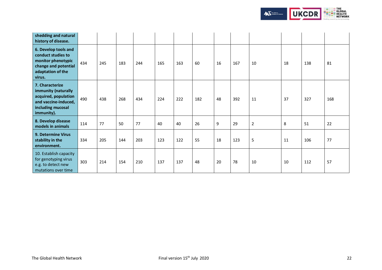

| shedding and natural<br>history of disease.                                                                               |     |     |     |     |     |     |     |    |     |                |    |     |     |
|---------------------------------------------------------------------------------------------------------------------------|-----|-----|-----|-----|-----|-----|-----|----|-----|----------------|----|-----|-----|
| 6. Develop tools and<br>conduct studies to<br>monitor phenotypic<br>change and potential<br>adaptation of the<br>virus.   | 434 | 245 | 183 | 244 | 165 | 163 | 60  | 16 | 167 | 10             | 18 | 138 | 81  |
| 7. Characterize<br>immunity (naturally<br>acquired, population<br>and vaccine-induced,<br>including mucosal<br>immunity). | 490 | 438 | 268 | 434 | 224 | 222 | 182 | 48 | 392 | 11             | 37 | 327 | 168 |
| 8. Develop disease<br>models in animals                                                                                   | 114 | 77  | 50  | 77  | 40  | 40  | 26  | 9  | 29  | $\overline{2}$ | 8  | 51  | 22  |
| 9. Determine Virus<br>stability in the<br>environment.                                                                    | 334 | 205 | 144 | 203 | 123 | 122 | 55  | 18 | 123 | 5              | 11 | 106 | 77  |
| 10. Establish capacity<br>for genotyping virus<br>e.g. to detect new<br>mutations over time                               | 303 | 214 | 154 | 210 | 137 | 137 | 48  | 20 | 78  | 10             | 10 | 112 | 57  |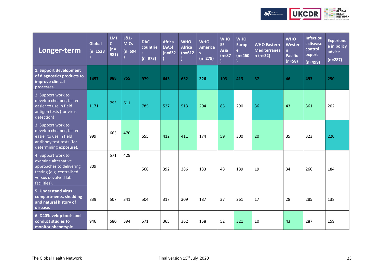

| Longer-term                                                                                                                               | Global<br>$(n=1528)$ | <b>LMI</b><br>$\mathbf{C}$<br>$(n=$<br>981) | <b>L&amp;L-</b><br><b>MICs</b><br>$(n=694)$ | <b>DAC</b><br>countrie<br>$(n=973)$ | <b>Africa</b><br>(AAS)<br>$(n=632)$ | <b>WHO</b><br><b>Africa</b><br>$(n=612)$ | <b>WHO</b><br><b>America</b><br>$(n=279)$ | <b>WHO</b><br><b>SE</b><br><b>Asia</b><br>$\sqrt{(n=87)}$ | <b>WHO</b><br><b>Europ</b><br>e.<br>$(n=460)$ | <b>WHO Eastern</b><br><b>Mediterranea</b><br>$n(n=32)$ | <b>WHO</b><br>Wester<br>n<br><b>Pacific</b><br>$(n=58)$ | <b>Infectiou</b><br>s disease<br>control<br>expert<br>$(n=499)$ | <b>Experienc</b><br>e in policy<br>advice<br>$(n=287)$ |
|-------------------------------------------------------------------------------------------------------------------------------------------|----------------------|---------------------------------------------|---------------------------------------------|-------------------------------------|-------------------------------------|------------------------------------------|-------------------------------------------|-----------------------------------------------------------|-----------------------------------------------|--------------------------------------------------------|---------------------------------------------------------|-----------------------------------------------------------------|--------------------------------------------------------|
| 1. Support development<br>of diagnostics products to<br>improve clinical<br>processes.                                                    | 1457                 | 988                                         | 755                                         | 979                                 | 643                                 | 632                                      | 226                                       | 103                                                       | 413                                           | 37                                                     | 46                                                      | 493                                                             | 250                                                    |
| 2. Support work to<br>develop cheaper, faster<br>easier to use in field<br>antigen tests (for virus<br>detection)                         | 1171                 | 793                                         | 611                                         | 785                                 | 527                                 | 513                                      | 204                                       | 85                                                        | 290                                           | 36                                                     | 43                                                      | 361                                                             | 202                                                    |
| 3. Support work to<br>develop cheaper, faster<br>easier to use in field<br>antibody test tests (for<br>determining exposure).             | 999                  | 663                                         | 470                                         | 655                                 | 412                                 | 411                                      | 174                                       | 59                                                        | 300                                           | 20                                                     | 35                                                      | 323                                                             | 220                                                    |
| 4. Support work to<br>examine alternative<br>approaches to delivering<br>testing (e.g. centralised<br>versus devolved lab<br>facilities). | 809                  | 571                                         | 429                                         | 568                                 | 392                                 | 386                                      | 133                                       | 48                                                        | 189                                           | 19                                                     | 34                                                      | 266                                                             | 184                                                    |
| 5. Understand virus<br>compartments, shedding<br>and natural history of<br>disease.                                                       | 839                  | 507                                         | 341                                         | 504                                 | 317                                 | 309                                      | 187                                       | 37                                                        | 261                                           | 17                                                     | 28                                                      | 285                                                             | 138                                                    |
| 6. D403evelop tools and<br>conduct studies to<br>monitor phenotypic                                                                       | 946                  | 580                                         | 394                                         | 571                                 | 365                                 | 362                                      | 158                                       | 52                                                        | 321                                           | 10                                                     | 43                                                      | 287                                                             | 159                                                    |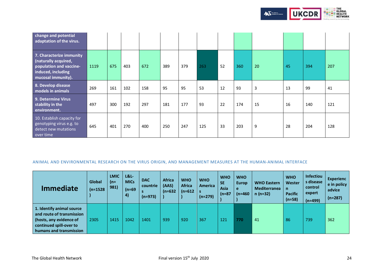

| change and potential<br>adaptation of the virus.                                                                        |      |     |     |     |     |     |     |    |     |    |    |     |     |
|-------------------------------------------------------------------------------------------------------------------------|------|-----|-----|-----|-----|-----|-----|----|-----|----|----|-----|-----|
| 7. Characterize immunity<br>(naturally acquired,<br>population and vaccine-<br>induced, including<br>mucosal immunity). | 1119 | 675 | 403 | 672 | 389 | 379 | 263 | 52 | 360 | 20 | 45 | 394 | 207 |
| 8. Develop disease<br>models in animals                                                                                 | 269  | 161 | 102 | 158 | 95  | 95  | 53  | 12 | 93  | 3  | 13 | 99  | 41  |
| 9. Determine Virus<br>stability in the<br>environment.                                                                  | 497  | 300 | 192 | 297 | 181 | 177 | 93  | 22 | 174 | 15 | 16 | 140 | 121 |
| 10. Establish capacity for<br>genotyping virus e.g. to<br>detect new mutations<br>over time                             | 645  | 401 | 270 | 400 | 250 | 247 | 125 | 33 | 203 | 9  | 28 | 204 | 128 |

## <span id="page-23-0"></span>ANIMAL AND ENVIRONMENTAL RESEARCH ON THE VIRUS ORIGIN, AND MANAGEMENT MEASURES AT THE HUMAN-ANIMAL INTERFACE

| <b>Immediate</b>                                                                                                                        | Global<br>$(n=1528)$ | <b>LMIC</b><br>$(n=$<br>981) | L&L-<br><b>MICs</b><br>$(n=69)$<br>$\left( 4\right)$ | <b>DAC</b><br>countrie<br>$(n=973)$ | <b>Africa</b><br>(AAS)<br>$(n=632)$ | <b>WHO</b><br><b>Africa</b><br>$(n=612)$ | <b>WHO</b><br>America<br>$(n=279)$ | <b>WHO</b><br><b>SE</b><br>Asia<br>$(n=87)$ | <b>WHO</b><br><b>Europ</b><br>e<br>$(n=460)$ | <b>WHO Eastern</b><br><b>Mediterranea</b><br>$n(n=32)$ | <b>WHO</b><br>Wester<br>n.<br><b>Pacific</b><br>$(n=58)$ | <b>Infectiou</b><br>s disease<br>control<br>expert<br>$(n=499)$ | <b>Experienc</b><br>e in policy<br>advice<br>$(n=287)$ |
|-----------------------------------------------------------------------------------------------------------------------------------------|----------------------|------------------------------|------------------------------------------------------|-------------------------------------|-------------------------------------|------------------------------------------|------------------------------------|---------------------------------------------|----------------------------------------------|--------------------------------------------------------|----------------------------------------------------------|-----------------------------------------------------------------|--------------------------------------------------------|
| 1. Identify animal source<br>and route of transmission<br>(hosts, any evidence of<br>continued spill-over to<br>humans and transmission | 2305                 | 1415                         | 1042                                                 | 1401                                | 939                                 | 920                                      | 367                                | 121                                         | 770                                          | 41                                                     | -86                                                      | 739                                                             | 362                                                    |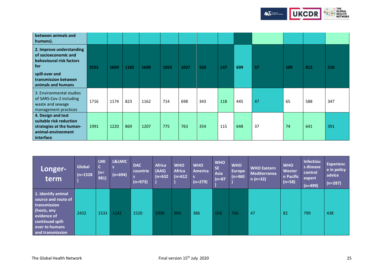

| between animals and<br>humans).                                                                              |      |      |      |      |      |      |     |     |     |    |     |     |     |
|--------------------------------------------------------------------------------------------------------------|------|------|------|------|------|------|-----|-----|-----|----|-----|-----|-----|
| 2. Improve understanding<br>of socioeconomic and<br>behavioural risk factors<br>for                          | 2552 | 1699 | 1182 | 1690 | 1053 | 1037 | 503 | 147 | 699 | 57 | 109 | 812 | 510 |
| spill-over and<br>transmission between<br>animals and humans                                                 |      |      |      |      |      |      |     |     |     |    |     |     |     |
| 3. Environmental studies<br>of SARS-Cov-2 including<br>waste and sewage<br>management practices              | 1716 | 1174 | 823  | 1162 | 714  | 698  | 343 | 118 | 445 | 47 | 65  | 588 | 347 |
| 4. Design and test<br>suitable risk reduction<br>strategies at the human-<br>animal-environment<br>interface | 1991 | 1220 | 869  | 1207 | 775  | 763  | 354 | 115 | 648 | 37 | 74  | 641 | 391 |

| Longer-<br>term                                                                                                                                   | Global<br>$(n=1528)$ | <b>LMI</b><br>$\mathsf{C}$<br>(n=<br>981) | L&LMIC<br>s<br>$(n=694)$ | <b>DAC</b><br>countrie<br>$(n=973)$ | <b>Africa</b><br>(AAS)<br>$(n=632)$ | <b>WHO</b><br><b>Africa</b><br>$(n=612)$ | <b>WHO</b><br><b>America</b><br>$(n=279)$ | <b>WHO</b><br><b>SE</b><br>Asia<br>$(n=87)$ | <b>WHO</b><br><b>Europe</b><br>$(n=460)$ | <b>WHO Eastern</b><br><b>Mediterranea</b><br>$n(n=32)$ | <b>WHO</b><br>Wester<br>n Pacific<br>$(n=58)$ | <b>Infectiou</b><br>s disease<br>control<br>expert<br>$(n=499)$ | <b>Experienc</b><br>e in policy<br>advice<br>$(n=287)$ |
|---------------------------------------------------------------------------------------------------------------------------------------------------|----------------------|-------------------------------------------|--------------------------|-------------------------------------|-------------------------------------|------------------------------------------|-------------------------------------------|---------------------------------------------|------------------------------------------|--------------------------------------------------------|-----------------------------------------------|-----------------------------------------------------------------|--------------------------------------------------------|
| 1. Identify animal<br>source and route of<br>transmission<br>(hosts, any<br>evidence of<br>continued spill-<br>over to humans<br>and transmission | 2432                 | 1533                                      | 1142                     | 1520                                | 1008                                | 993                                      | 386                                       | 158                                         | 766                                      | 47                                                     | 82                                            | 799                                                             | 438                                                    |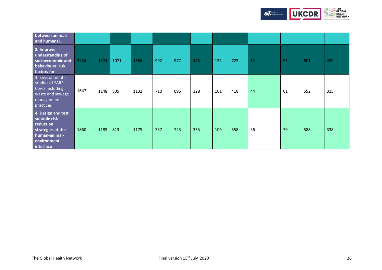

<span id="page-25-0"></span>

| between animals<br>and humans).                                                                                    |      |      |      |      |     |     |     |     |     |    |    |     |     |
|--------------------------------------------------------------------------------------------------------------------|------|------|------|------|-----|-----|-----|-----|-----|----|----|-----|-----|
| 2. Improve<br>understanding of<br>socioeconomic and<br>behavioural risk<br>factors for                             | 2454 | 1574 | 1071 | 1564 | 992 | 977 | 473 | 132 | 725 | 52 | 95 | 801 | 499 |
| 3. Environmental<br>studies of SARS-<br>Cov-2 including<br>waste and sewage<br>management<br>practices             | 1647 | 1148 | 805  | 1132 | 710 | 695 | 328 | 101 | 418 | 44 | 61 | 552 | 315 |
| 4. Design and test<br>suitable risk<br>reduction<br>strategies at the<br>human-animal-<br>environment<br>interface | 1860 | 1185 | 813  | 1175 | 737 | 723 | 355 | 109 | 558 | 36 | 79 | 588 | 338 |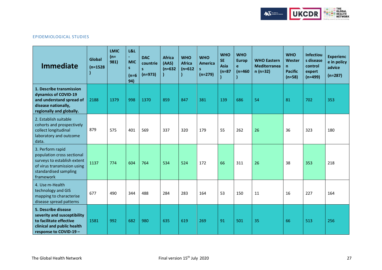

## EPIDEMIOLOGICAL STUDIES

| <b>Immediate</b>                                                                                                                                   | Global<br>$(n=1528)$ | <b>LMIC</b><br>$(n=$<br>981) | <b>L&amp;L</b><br>$\blacksquare$<br><b>MIC</b><br>s.<br>$(n=6)$<br>94) | <b>DAC</b><br>countrie<br>S<br>$(n=973)$ | <b>Africa</b><br>(AAS)<br>$(n=632)$ | <b>WHO</b><br><b>Africa</b><br>$(n=612)$ | <b>WHO</b><br>America<br>$(n=279)$ | <b>WHO</b><br><b>SE</b><br>Asia<br>$(n=87)$ | <b>WHO</b><br><b>Europ</b><br>e<br>$(n=460)$ | <b>WHO Eastern</b><br><b>Mediterranea</b><br>$n(n=32)$ | <b>WHO</b><br>Wester<br>$\mathsf{n}$<br><b>Pacific</b><br>$(n=58)$ | <b>Infectiou</b><br>s disease<br>control<br>expert<br>$(n=499)$ | <b>Experienc</b><br>e in policy<br>advice<br>$(n=287)$ |
|----------------------------------------------------------------------------------------------------------------------------------------------------|----------------------|------------------------------|------------------------------------------------------------------------|------------------------------------------|-------------------------------------|------------------------------------------|------------------------------------|---------------------------------------------|----------------------------------------------|--------------------------------------------------------|--------------------------------------------------------------------|-----------------------------------------------------------------|--------------------------------------------------------|
| 1. Describe transmission<br>dynamics of COVID-19<br>and understand spread of<br>disease nationally,<br>regionally and globally.                    | 2188                 | 1379                         | 998                                                                    | 1370                                     | 859                                 | 847                                      | 381                                | 139                                         | 686                                          | 54                                                     | 81                                                                 | 702                                                             | 353                                                    |
| 2. Establish suitable<br>cohorts and prospectively<br>collect longitudinal<br>laboratory and outcome<br>data.                                      | 879                  | 575                          | 401                                                                    | 569                                      | 337                                 | 320                                      | 179                                | 55                                          | 262                                          | 26                                                     | 36                                                                 | 323                                                             | 180                                                    |
| 3. Perform rapid<br>population cross sectional<br>surveys to establish extent<br>of virus transmission using<br>standardised sampling<br>framework | 1137                 | 774                          | 604                                                                    | 764                                      | 534                                 | 524                                      | 172                                | 66                                          | 311                                          | 26                                                     | 38                                                                 | 353                                                             | 218                                                    |
| 4. Use m-Health<br>technology and GIS<br>mapping to characterise<br>disease spread patterns                                                        | 677                  | 490                          | 344                                                                    | 488                                      | 284                                 | 283                                      | 164                                | 53                                          | 150                                          | 11                                                     | 16                                                                 | 227                                                             | 164                                                    |
| 5. Describe disease<br>severity and susceptibility<br>to facilitate effective<br>clinical and public health<br>response to COVID-19 -              | 1581                 | 992                          | 682                                                                    | 980                                      | 635                                 | 619                                      | 269                                | 91                                          | 501                                          | 35                                                     | 66                                                                 | 513                                                             | 256                                                    |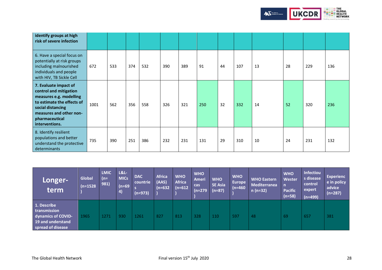

| identify groups at high<br>risk of severe infection                                                                                                                                          |      |     |     |     |     |     |     |    |     |    |    |     |     |
|----------------------------------------------------------------------------------------------------------------------------------------------------------------------------------------------|------|-----|-----|-----|-----|-----|-----|----|-----|----|----|-----|-----|
| 6. Have a special focus on<br>potentially at risk groups<br>including malnourished<br>individuals and people<br>with HIV, TB Sickle Cell                                                     | 672  | 533 | 374 | 532 | 390 | 389 | 91  | 44 | 107 | 13 | 28 | 229 | 136 |
| 7. Evaluate impact of<br>control and mitigation<br>measures e.g. modelling<br>to estimate the effects of<br>social distancing<br>measures and other non-<br>pharmaceutical<br>interventions. | 1001 | 562 | 356 | 558 | 326 | 321 | 250 | 32 | 332 | 14 | 52 | 320 | 236 |
| 8. Identify resilient<br>populations and better<br>understand the protective<br>determinants                                                                                                 | 735  | 390 | 251 | 386 | 232 | 231 | 131 | 29 | 310 | 10 | 24 | 231 | 132 |

| Longer-<br>term                                                                             | Global<br>$(n=1528)$ | <b>LMIC</b><br>$(n=$<br>981) | <b>L&amp;L-</b><br><b>MICs</b><br>$(n=69)$<br>4) | <b>DAC</b><br>countrie<br>$(n=973)$ | <b>Africa</b><br>(AAS)<br>$(n=632)$ | <b>WHO</b><br><b>Africa</b><br>$(n=612)$ | <b>WHO</b><br>Ameri<br>cas<br>$(n=279)$ | <b>WHO</b><br><b>SE Asia</b><br>$(n=87)$ | <b>WHO</b><br><b>Europe</b><br>$(n=460)$ | <b>WHO Eastern</b><br><b>Mediterranea</b><br>$n(n=32)$ | <b>WHO</b><br>Wester<br>n<br><b>Pacific</b><br>$(n=58)$ | <b>Infectiou</b><br>s disease<br>control<br>expert<br>$(n=499)$ | <b>Experienc</b><br>e in policy<br>advice<br>$(n=287)$ |
|---------------------------------------------------------------------------------------------|----------------------|------------------------------|--------------------------------------------------|-------------------------------------|-------------------------------------|------------------------------------------|-----------------------------------------|------------------------------------------|------------------------------------------|--------------------------------------------------------|---------------------------------------------------------|-----------------------------------------------------------------|--------------------------------------------------------|
| 1. Describe<br>transmission<br>dynamics of COVID-<br>19 and understand<br>spread of disease | 1965                 | 1271                         | 930                                              | 1261                                | 827                                 | 813                                      | 328                                     | 110                                      | 597                                      | 48                                                     | -69                                                     | 657                                                             | 381                                                    |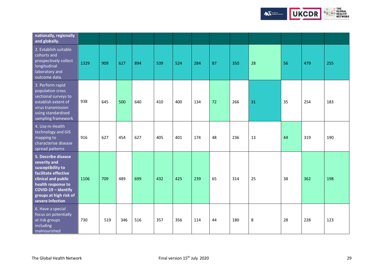

| nationally, regionally<br>and globally.                                                                                                                                                            |      |     |     |     |     |     |     |    |     |    |    |     |     |
|----------------------------------------------------------------------------------------------------------------------------------------------------------------------------------------------------|------|-----|-----|-----|-----|-----|-----|----|-----|----|----|-----|-----|
| 2. Establish suitable<br>cohorts and<br>prospectively collect<br>longitudinal<br>laboratory and<br>outcome data.                                                                                   | 1329 | 909 | 627 | 894 | 539 | 524 | 284 | 87 | 350 | 28 | 56 | 479 | 255 |
| 3. Perform rapid<br>population cross<br>sectional surveys to<br>establish extent of<br>virus transmission<br>using standardised<br>sampling framework                                              | 938  | 645 | 500 | 640 | 410 | 400 | 134 | 72 | 266 | 31 | 35 | 254 | 183 |
| 4. Use m-Health<br>technology and GIS<br>mapping to<br>characterise disease<br>spread patterns                                                                                                     | 916  | 627 | 454 | 627 | 405 | 401 | 174 | 48 | 236 | 13 | 44 | 319 | 190 |
| 5. Describe disease<br>severity and<br>susceptibility to<br>facilitate effective<br>clinical and public<br>health response to<br>COVID-19 - identify<br>groups at high risk of<br>severe infection | 1106 | 709 | 489 | 699 | 432 | 425 | 239 | 65 | 314 | 25 | 38 | 362 | 198 |
| 6. Have a special<br>focus on potentially<br>at risk groups<br>including<br>malnourished                                                                                                           | 730  | 519 | 346 | 516 | 357 | 356 | 114 | 44 | 180 | 8  | 28 | 228 | 123 |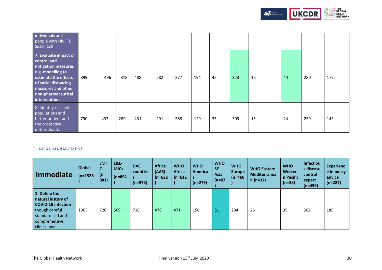

| individuals and<br>people with HIV, TB<br>Sickle Cell                                                                                                                                          |     |     |     |     |     |     |     |    |     |    |    |     |     |
|------------------------------------------------------------------------------------------------------------------------------------------------------------------------------------------------|-----|-----|-----|-----|-----|-----|-----|----|-----|----|----|-----|-----|
| 7. Evaluate impact of<br>control and<br>mitigation measures<br>e.g. modelling to<br>estimate the effects<br>of social distancing<br>measures and other<br>non-pharmaceutical<br>interventions. | 899 | 496 | 318 | 488 | 282 | 277 | 194 | 45 | 323 | 16 | 44 | 280 | 177 |
| 8. Identify resilient<br>populations and<br>better understand<br>the protective<br>determinants                                                                                                | 790 | 433 | 289 | 431 | 291 | 288 | 129 | 33 | 303 | 13 | 24 | 259 | 143 |

## <span id="page-29-0"></span>CLINICAL MANAGEMENT

| <b>Immediate</b>                                                                                                                        | <b>Global</b><br>$(n=1528)$ | <b>LMI</b><br>C<br>$(n=$<br>981) | <b>L&amp;L-</b><br><b>MICs</b><br>$(n=694)$ | <b>DAC</b><br>countrie<br>s<br>$(n=973)$ | <b>Africa</b><br>(AAS)<br>$(n=632)$ | <b>WHO</b><br><b>Africa</b><br>$(n=612)$ | <b>WHO</b><br><b>America</b><br>$(n=279)$ | <b>WHO</b><br><b>SE</b><br>Asia<br>$(n=87)$ | <b>WHO</b><br><b>Europe</b><br>$(n=460)$ | <b>WHO Eastern</b><br>Mediterranea<br>$n(n=32)$ | <b>WHO</b><br>Wester<br>n Pacific<br>$(n=58)$ | <b>Infectiou</b><br>s disease<br>control<br>expert<br>$(n=499)$ | <b>Experienc</b><br>e in policy<br>advice<br>$(n=287)$ |
|-----------------------------------------------------------------------------------------------------------------------------------------|-----------------------------|----------------------------------|---------------------------------------------|------------------------------------------|-------------------------------------|------------------------------------------|-------------------------------------------|---------------------------------------------|------------------------------------------|-------------------------------------------------|-----------------------------------------------|-----------------------------------------------------------------|--------------------------------------------------------|
| 1. Define the<br>natural history of<br><b>COVID-19 infection</b><br>though careful<br>standardised and<br>comprehensive<br>clinical and | 1063                        | 726                              | 569                                         | 718                                      | 478                                 | 471                                      | 156                                       | 81                                          | 294                                      | 26                                              | 35                                            | 362                                                             | 185                                                    |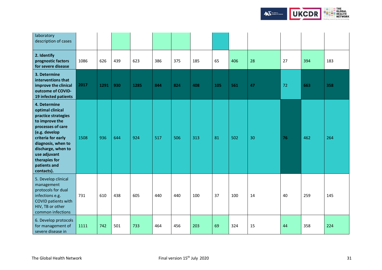

**HEARED THE**<br>**FALL TO BALL BEALTH**<br>THEALTH NETWORK

**UKCDR** 

The African<br>Academy of Sciences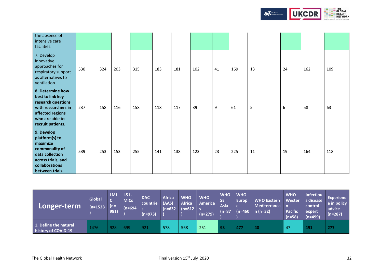

| the absence of<br>intensive care<br>facilities.                                                                                               |     |     |     |     |     |     |     |    |     |    |    |     |     |
|-----------------------------------------------------------------------------------------------------------------------------------------------|-----|-----|-----|-----|-----|-----|-----|----|-----|----|----|-----|-----|
| 7. Develop<br>innovative<br>approaches for<br>respiratory support<br>as alternatives to<br>ventilation                                        | 530 | 324 | 203 | 315 | 183 | 181 | 102 | 41 | 169 | 13 | 24 | 162 | 109 |
| 8. Determine how<br>best to link key<br>research questions<br>with researchers in<br>affected regions<br>who are able to<br>recruit patients. | 237 | 158 | 116 | 158 | 118 | 117 | 39  | 9  | 61  | 5  | 6  | 58  | 63  |
| 9. Develop<br>platform(s) to<br>maximize<br>commonality of<br>data collection<br>across trials, and<br>collaborations<br>between trials.      | 539 | 253 | 153 | 255 | 141 | 138 | 123 | 23 | 225 | 11 | 19 | 164 | 118 |

| Longer-term                                  | Global<br>$(n=1528)$ | <b>LMI</b><br>$\sqrt{ }$<br>$\ln(n=1)$<br>981) | L8L<br><b>MICs</b><br>$(n=694 \, \text{ s})$ | <b>DAC</b><br>countrie (AAS)<br>$(n=973)$ | <b>Africa</b><br>(n=632 | <b>WHO</b><br><b>Africa</b><br>$(n=612 \mid s)$ | <b>WHO</b><br>America<br>$(n=279)$ | <b>WHO</b><br><b>SE</b><br><b>Asia</b><br>$(n=87)$ | <b>WHO</b><br><b>Europ</b><br>e<br>$(n=460)$ | <b>WHO Eastern</b><br><b>Mediterranea</b><br>$n (n=32)$ | <b>WHO</b><br>Wester<br><b>Pacific</b><br>$(n=58)$ | <b>Infectiou</b><br>s disease<br>control<br>expert<br>$(n=499)$ | Experienc<br>e in policy<br>advice<br>$(n=287)$ |
|----------------------------------------------|----------------------|------------------------------------------------|----------------------------------------------|-------------------------------------------|-------------------------|-------------------------------------------------|------------------------------------|----------------------------------------------------|----------------------------------------------|---------------------------------------------------------|----------------------------------------------------|-----------------------------------------------------------------|-------------------------------------------------|
| 1. Define the natural<br>history of COVID-19 | 1476                 | 928                                            | 699                                          | 921                                       | 578                     | 568                                             | 251                                | -93                                                | -477                                         | 40                                                      | 47                                                 | 491                                                             | 277                                             |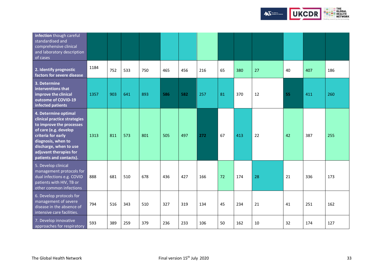

| infection though careful<br>standardised and<br>comprehensive clinical<br>and laboratory description<br>of cases                                                                                                                     |      |     |     |     |     |     |     |    |     |    |    |     |     |
|--------------------------------------------------------------------------------------------------------------------------------------------------------------------------------------------------------------------------------------|------|-----|-----|-----|-----|-----|-----|----|-----|----|----|-----|-----|
| 2. Identify prognostic<br>factors for severe disease                                                                                                                                                                                 | 1184 | 752 | 533 | 750 | 465 | 456 | 216 | 65 | 380 | 27 | 40 | 407 | 186 |
| 3. Determine<br>interventions that<br>improve the clinical<br>outcome of COVID-19<br>infected patients                                                                                                                               | 1357 | 903 | 641 | 893 | 586 | 582 | 257 | 81 | 370 | 12 | 55 | 411 | 260 |
| 4. Determine optimal<br>clinical practice strategies<br>to improve the processes<br>of care (e.g. develop<br>criteria for early<br>diagnosis, when to<br>discharge, when to use<br>adjuvant therapies for<br>patients and contacts). | 1313 | 811 | 573 | 801 | 505 | 497 | 272 | 67 | 413 | 22 | 42 | 387 | 255 |
| 5. Develop clinical<br>management protocols for<br>dual infections e.g. COVID<br>patients with HIV, TB or<br>other common infections                                                                                                 | 888  | 681 | 510 | 678 | 436 | 427 | 166 | 72 | 174 | 28 | 21 | 336 | 173 |
| 6. Develop protocols for<br>management of severe<br>disease in the absence of<br>intensive care facilities.                                                                                                                          | 794  | 516 | 343 | 510 | 327 | 319 | 134 | 45 | 234 | 21 | 41 | 251 | 162 |
| 7. Develop innovative<br>approaches for respiratory                                                                                                                                                                                  | 593  | 389 | 259 | 379 | 236 | 233 | 106 | 50 | 162 | 10 | 32 | 174 | 127 |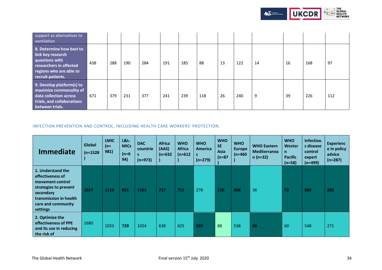

| support as alternatives to<br>ventilation                                                                                                  |     |     |     |     |     |     |     |    |     |    |     |     |     |
|--------------------------------------------------------------------------------------------------------------------------------------------|-----|-----|-----|-----|-----|-----|-----|----|-----|----|-----|-----|-----|
| 8. Determine how best to<br>link key research<br>questions with<br>researchers in affected<br>regions who are able to<br>recruit patients. | 438 | 288 | 190 | 284 | 191 | 185 | 88  | 13 | 122 | 14 | 16  | 168 | 97  |
| 9. Develop platform(s) to<br>maximize commonality of<br>data collection across<br>trials, and collaborations<br>between trials.            | 671 | 379 | 231 | 377 | 241 | 239 | 118 | 26 | 240 | 9  | -39 | 226 | 112 |

# <span id="page-33-0"></span>INFECTION PREVENTION AND CONTROL, INCLUDING HEALTH CARE WORKERS' PROTECTION.

| <b>Immediate</b>                                                                                                                                            | <b>Global</b><br>$(n=1528)$ | <b>LMIC</b><br>$(n=$<br>981) | $L&L$ -<br><b>MICs</b><br>$(n=6)$<br>94) | <b>DAC</b><br>countrie<br>(n=973) | <b>Africa</b><br>(AAS)<br>$(n=632)$ | <b>WHO</b><br><b>Africa</b><br>(n=612 | <b>WHO</b><br><b>America</b><br>$(n=279)$ | <b>WHO</b><br><b>SE</b><br>Asia<br>$(n=87)$ | <b>WHO</b><br><b>Europe</b><br>$(n=460)$ | <b>WHO Eastern</b><br><b>Mediterranea</b><br>$n(n=32)$ | <b>WHO</b><br>Wester<br>$\mathsf{n}$<br><b>Pacific</b><br>$(n=58)$ | <b>Infectiou</b><br>s disease<br>control<br>expert<br>$(n=499)$ | <b>Experienc</b><br>e in policy<br>advice<br>$(n=287)$ |
|-------------------------------------------------------------------------------------------------------------------------------------------------------------|-----------------------------|------------------------------|------------------------------------------|-----------------------------------|-------------------------------------|---------------------------------------|-------------------------------------------|---------------------------------------------|------------------------------------------|--------------------------------------------------------|--------------------------------------------------------------------|-----------------------------------------------------------------|--------------------------------------------------------|
| 1. Understand the<br>effectiveness of<br>movement control<br>strategies to prevent<br>secondary<br>transmission in health<br>care and community<br>settings | 1817                        | 1110                         | 831                                      | 1101                              | 727                                 | 715                                   | 278                                       | 110                                         | 606                                      | 36                                                     | 72                                                                 | 586                                                             | 280                                                    |
| 2. Optimize the<br>effectiveness of PPE<br>and its use in reducing<br>the risk of                                                                           | 1680                        | 1033                         | 729                                      | 1024                              | 638                                 | 625                                   | 329                                       | 88                                          | 538                                      | 40                                                     | 60                                                                 | 548                                                             | 271                                                    |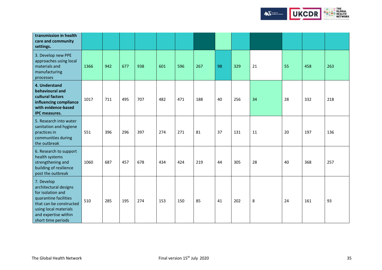

| transmission in health<br>care and community<br>settings.                                                                                                                           |      |     |     |     |     |     |     |    |     |    |    |     |     |
|-------------------------------------------------------------------------------------------------------------------------------------------------------------------------------------|------|-----|-----|-----|-----|-----|-----|----|-----|----|----|-----|-----|
| 3. Develop new PPE<br>approaches using local<br>materials and<br>manufacturing<br>processes                                                                                         | 1366 | 942 | 677 | 938 | 601 | 596 | 267 | 98 | 329 | 21 | 55 | 458 | 263 |
| 4. Understand<br>behavioural and<br>cultural factors<br>influencing compliance<br>with evidence-based<br><b>IPC measures.</b>                                                       | 1017 | 711 | 495 | 707 | 482 | 471 | 188 | 40 | 256 | 34 | 28 | 332 | 218 |
| 5. Research into water<br>sanitation and hygiene<br>practices in<br>communities during<br>the outbreak                                                                              | 551  | 396 | 296 | 397 | 274 | 271 | 81  | 37 | 131 | 11 | 20 | 197 | 136 |
| 6. Research to support<br>health systems<br>strengthening and<br>building of resilience<br>post the outbreak                                                                        | 1060 | 687 | 457 | 678 | 434 | 424 | 219 | 44 | 305 | 28 | 40 | 368 | 257 |
| 7. Develop<br>architectural designs<br>for isolation and<br>quarantine facilities<br>that can be constructed<br>using local materials<br>and expertise within<br>short time periods | 510  | 285 | 195 | 274 | 153 | 150 | 85  | 41 | 202 | 8  | 24 | 161 | 93  |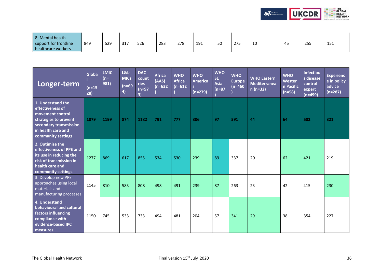

| Longer-term                                                                                                                                              | Globa<br>$(n=15)$<br>28) | <b>LMIC</b><br>$(n=$<br>981) | <b>L&amp;L-</b><br><b>MICs</b><br>$(n=69)$<br>4) | <b>DAC</b><br>count<br>ries<br>$(n=97)$<br>3) | <b>Africa</b><br>(AAS)<br>$(n=632)$ | <b>WHO</b><br><b>Africa</b><br>$(n=612)$ | <b>WHO</b><br><b>America</b><br>s.<br>$(n=279)$ | <b>WHO</b><br><b>SE</b><br><b>Asia</b><br>$(n=87)$ | <b>WHO</b><br><b>Europe</b><br>$(n=460)$ | <b>WHO Eastern</b><br><b>Mediterranea</b><br>$n(n=32)$ | <b>WHO</b><br>Wester<br>n Pacific<br>$(n=58)$ | <b>Infectiou</b><br>s disease<br>control<br>expert<br>$(n=499)$ | <b>Experienc</b><br>e in policy<br>advice<br>$(n=287)$ |
|----------------------------------------------------------------------------------------------------------------------------------------------------------|--------------------------|------------------------------|--------------------------------------------------|-----------------------------------------------|-------------------------------------|------------------------------------------|-------------------------------------------------|----------------------------------------------------|------------------------------------------|--------------------------------------------------------|-----------------------------------------------|-----------------------------------------------------------------|--------------------------------------------------------|
| 1. Understand the<br>effectiveness of<br>movement control<br>strategies to prevent<br>secondary transmission<br>in health care and<br>community settings | 1879                     | 1199                         | 874                                              | 1182                                          | 791                                 | 777                                      | 306                                             | 97                                                 | 591                                      | 44                                                     | 64                                            | 582                                                             | 321                                                    |
| 2. Optimize the<br>effectiveness of PPE and<br>its use in reducing the<br>risk of transmission in<br>health care and<br>community settings.              | 1277                     | 869                          | 617                                              | 855                                           | 534                                 | 530                                      | 239                                             | 89                                                 | 337                                      | 20                                                     | 62                                            | 421                                                             | 219                                                    |
| 3. Develop new PPE<br>approaches using local<br>materials and<br>manufacturing processes                                                                 | 1145                     | 810                          | 583                                              | 808                                           | 498                                 | 491                                      | 239                                             | 87                                                 | 263                                      | 23                                                     | 42                                            | 415                                                             | 230                                                    |
| 4. Understand<br>behavioural and cultural<br>factors influencing<br>compliance with<br>evidence-based IPC<br>measures.                                   | 1150                     | 745                          | 533                                              | 733                                           | 494                                 | 481                                      | 204                                             | 57                                                 | 341                                      | 29                                                     | 38                                            | 354                                                             | 227                                                    |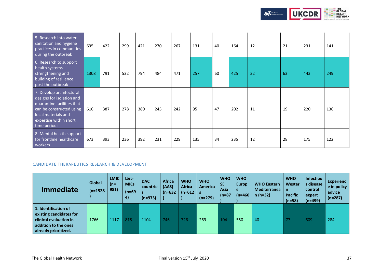

| 5. Research into water<br>sanitation and hygiene<br>practices in communities<br>during the outbreak                                                                              | 635  | 422 | 299 | 421 | 270 | 267 | 131 | 40 | 164 | 12 | 21 | 231 | 141 |
|----------------------------------------------------------------------------------------------------------------------------------------------------------------------------------|------|-----|-----|-----|-----|-----|-----|----|-----|----|----|-----|-----|
| 6. Research to support<br>health systems<br>strengthening and<br>building of resilience<br>post the outbreak                                                                     | 1308 | 791 | 532 | 794 | 484 | 471 | 257 | 60 | 425 | 32 | 63 | 443 | 249 |
| 7. Develop architectural<br>designs for isolation and<br>quarantine facilities that<br>can be constructed using<br>local materials and<br>expertise within short<br>time periods | 616  | 387 | 278 | 380 | 245 | 242 | 95  | 47 | 202 | 11 | 19 | 220 | 136 |
| 8. Mental health support<br>for frontline healthcare<br>workers                                                                                                                  | 673  | 393 | 236 | 392 | 231 | 229 | 135 | 34 | 235 | 12 | 28 | 175 | 122 |

## <span id="page-36-0"></span>CANDIDATE THERAPEUTICS RESEARCH & DEVELOPMENT

| <b>Immediate</b>                                                                                                          | Global<br>$(n=1528)$ | <b>LMIC</b><br>$(n=$<br>981) | L&L-<br><b>MICs</b><br>$(n=69)$<br>4) | <b>DAC</b><br>countrie<br>$(n=973)$ | <b>Africa</b><br>(AAS)<br>$(n=632)$ | <b>WHO</b><br><b>Africa</b><br>$(n=612)$ | <b>WHO</b><br><b>America</b><br>-S<br>$(n=279)$ | <b>WHO</b><br><b>SE</b><br>Asia<br>$(n=87)$ | <b>WHO</b><br><b>Europ</b><br>e<br>$(n=460)$ | <b>WHO Eastern</b><br><b>Mediterranea</b><br>$n(n=32)$ | <b>WHO</b><br>Wester<br>n<br><b>Pacific</b><br>$(n=58)$ | <b>Infectiou</b><br>s disease<br>control<br>expert<br>$(n=499)$ | <b>Experienc</b><br>e in policy<br>advice<br>$(n=287)$ |
|---------------------------------------------------------------------------------------------------------------------------|----------------------|------------------------------|---------------------------------------|-------------------------------------|-------------------------------------|------------------------------------------|-------------------------------------------------|---------------------------------------------|----------------------------------------------|--------------------------------------------------------|---------------------------------------------------------|-----------------------------------------------------------------|--------------------------------------------------------|
| 1. Identification of<br>existing candidates for<br>clinical evaluation in<br>addition to the ones<br>already prioritized. | 1766                 | 1117                         | 818                                   | 1104                                | 746                                 | 726                                      | 269                                             | 104                                         | 550                                          | 40                                                     | 77                                                      | 609                                                             | 284                                                    |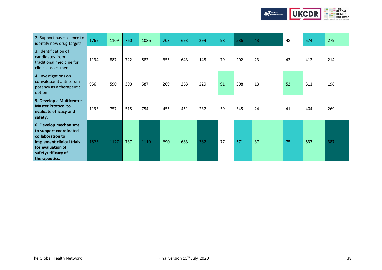

| 2. Support basic science to<br>identify new drug targets                                                                                                     | 1767 | 1109 | 760 | 1086 | 703 | 693 | 299 | 98 | 586 | 43 | 48 | 574 | 279 |
|--------------------------------------------------------------------------------------------------------------------------------------------------------------|------|------|-----|------|-----|-----|-----|----|-----|----|----|-----|-----|
| 3. Identification of<br>candidates from<br>traditional medicine for<br>clinical assessment                                                                   | 1134 | 887  | 722 | 882  | 655 | 643 | 145 | 79 | 202 | 23 | 42 | 412 | 214 |
| 4. Investigations on<br>convalescent anti serum<br>potency as a therapeutic<br>option                                                                        | 956  | 590  | 390 | 587  | 269 | 263 | 229 | 91 | 308 | 13 | 52 | 311 | 198 |
| 5. Develop a Multicentre<br><b>Master Protocol to</b><br>evaluate efficacy and<br>safety.                                                                    | 1193 | 757  | 515 | 754  | 455 | 451 | 237 | 59 | 345 | 24 | 41 | 404 | 269 |
| 6. Develop mechanisms<br>to support coordinated<br>collaboration to<br>implement clinical trials<br>for evaluation of<br>safety/efficacy of<br>therapeutics. | 1825 | 1127 | 737 | 1119 | 690 | 683 | 382 | 77 | 571 | 37 | 75 | 537 | 387 |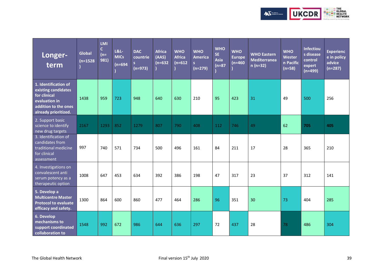

| Longer-<br>term                                                                                                              | <b>Global</b><br>$(n=1528)$ | <b>LMI</b><br>$\mathsf{C}$<br>$(n=$<br>981) | <b>L&amp;L-</b><br><b>MICs</b><br>$(n=694)$ | <b>DAC</b><br>countrie<br>S<br>$(n=973)$ | <b>Africa</b><br>(AAS)<br>$(n=632)$ | <b>WHO</b><br><b>Africa</b><br>$(n=612)$ | <b>WHO</b><br><b>America</b><br>S<br>$(n=279)$ | <b>WHO</b><br><b>SE</b><br>Asia<br>$(n=87)$ | <b>WHO</b><br><b>Europe</b><br>$(n=460)$ | <b>WHO Eastern</b><br><b>Mediterranea</b><br>$n(n=32)$ | <b>WHO</b><br>Wester<br>n Pacific<br>$(n=58)$ | <b>Infectiou</b><br>s disease<br>control<br>expert<br>$(n=499)$ | <b>Experienc</b><br>e in policy<br>advice<br>$(n=287)$ |
|------------------------------------------------------------------------------------------------------------------------------|-----------------------------|---------------------------------------------|---------------------------------------------|------------------------------------------|-------------------------------------|------------------------------------------|------------------------------------------------|---------------------------------------------|------------------------------------------|--------------------------------------------------------|-----------------------------------------------|-----------------------------------------------------------------|--------------------------------------------------------|
| 1. Identification of<br>existing candidates<br>for clinical<br>evaluation in<br>addition to the ones<br>already prioritized. | 1438                        | 959                                         | 723                                         | 948                                      | 640                                 | 630                                      | 210                                            | 95                                          | 423                                      | 31                                                     | 49                                            | 500                                                             | 256                                                    |
| 2. Support basic<br>science to identify<br>new drug targets                                                                  | 2167                        | 1293                                        | 852                                         | 1279                                     | 807                                 | 790                                      | 408                                            | 112                                         | 746                                      | 49                                                     | 62                                            | 705                                                             | 405                                                    |
| 3. Identification of<br>candidates from<br>traditional medicine<br>for clinical<br>assessment                                | 997                         | 740                                         | 571                                         | 734                                      | 500                                 | 496                                      | 161                                            | 84                                          | 211                                      | 17                                                     | 28                                            | 365                                                             | 210                                                    |
| 4. Investigations on<br>convalescent anti<br>serum potency as a<br>therapeutic option                                        | 1008                        | 647                                         | 453                                         | 634                                      | 392                                 | 386                                      | 198                                            | 47                                          | 317                                      | 23                                                     | 37                                            | 312                                                             | 141                                                    |
| 5. Develop a<br><b>Multicentre Master</b><br><b>Protocol to evaluate</b><br>efficacy and safety.                             | 1300                        | 864                                         | 600                                         | 860                                      | 477                                 | 464                                      | 286                                            | 96                                          | 351                                      | 30                                                     | 73                                            | 404                                                             | 285                                                    |
| 6. Develop<br>mechanisms to<br>support coordinated<br>collaboration to                                                       | 1548                        | 992                                         | 672                                         | 986                                      | 644                                 | 636                                      | 297                                            | 72                                          | 437                                      | 28                                                     | 78                                            | 486                                                             | 304                                                    |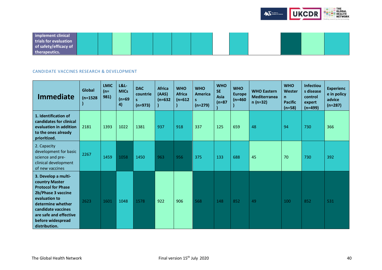

| implement clinical    |  |  |  |  |  |  |  |
|-----------------------|--|--|--|--|--|--|--|
| trials for evaluation |  |  |  |  |  |  |  |
| of safety/efficacy of |  |  |  |  |  |  |  |
| therapeutics.         |  |  |  |  |  |  |  |

## <span id="page-39-0"></span>CANDIDATE VACCINES RESEARCH & DEVELOPMENT

| <b>Immediate</b>                                                                                                                                                                                                     | Global<br>$(n=1528)$ | <b>LMIC</b><br>$(n=$<br>981) | $L&L$ -<br><b>MICs</b><br>$(n=69)$<br>4) | <b>DAC</b><br>countrie<br>s<br>$(n=973)$ | <b>Africa</b><br>(AAS)<br>$(n=632)$ | <b>WHO</b><br><b>Africa</b><br>$(n=612)$ | <b>WHO</b><br><b>America</b><br>s<br>$(n=279)$ | <b>WHO</b><br><b>SE</b><br><b>Asia</b><br>$(n=87)$ | <b>WHO</b><br><b>Europe</b><br>$(n=460)$ | <b>WHO Eastern</b><br><b>Mediterranea</b><br>$n(n=32)$ | <b>WHO</b><br>Wester<br>n<br><b>Pacific</b><br>$(n=58)$ | <b>Infectiou</b><br>s disease<br>control<br>expert<br>$(n=499)$ | <b>Experienc</b><br>e in policy<br>advice<br>$(n=287)$ |
|----------------------------------------------------------------------------------------------------------------------------------------------------------------------------------------------------------------------|----------------------|------------------------------|------------------------------------------|------------------------------------------|-------------------------------------|------------------------------------------|------------------------------------------------|----------------------------------------------------|------------------------------------------|--------------------------------------------------------|---------------------------------------------------------|-----------------------------------------------------------------|--------------------------------------------------------|
| 1. Identification of<br>candidates for clinical<br>evaluation in addition<br>to the ones already<br>prioritized.                                                                                                     | 2181                 | 1393                         | 1022                                     | 1381                                     | 937                                 | 918                                      | 337                                            | 125                                                | 659                                      | 48                                                     | 94                                                      | 730                                                             | 366                                                    |
| 2. Capacity<br>development for basic<br>science and pre-<br>clinical development<br>of new vaccines                                                                                                                  | 2267                 | 1459                         | 1058                                     | 1450                                     | 963                                 | 956                                      | 375                                            | 133                                                | 688                                      | 45                                                     | 70                                                      | 730                                                             | 392                                                    |
| 3. Develop a multi-<br>country Master<br><b>Protocol for Phase</b><br>2b/Phase 3 vaccine<br>evaluation to<br>determine whether<br>candidate vaccines<br>are safe and effective<br>before widespread<br>distribution. | 2623                 | 1601                         | 1048                                     | 1578                                     | 922                                 | 906                                      | 568                                            | 148                                                | 852                                      | 49                                                     | 100                                                     | 852                                                             | 531                                                    |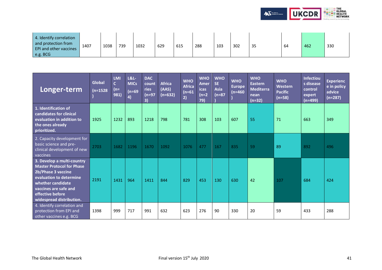

| 4. Identify correlation<br>and protection from<br><b>EPI and other vaccines</b><br>e.g. BCG | 1407 | 1038 | 739 | 1032 | 629 | 615 | 288 | 103 | 302 | 35 | 64 | 462 | 330 |
|---------------------------------------------------------------------------------------------|------|------|-----|------|-----|-----|-----|-----|-----|----|----|-----|-----|
|---------------------------------------------------------------------------------------------|------|------|-----|------|-----|-----|-----|-----|-----|----|----|-----|-----|

| Longer-term                                                                                                                                                                                                   | Global<br>$(n=1528)$ | LMI<br>$\overline{c}$<br>$(n=$<br>981) | <b>L&amp;L-</b><br><b>MICs</b><br>$(n=69)$<br>4) | <b>DAC</b><br>count<br>ries<br>$(n=97)$<br>3) | <b>Africa</b><br>(AAS)<br>$(n=632)$ | <b>WHO</b><br><b>Africa</b><br>$(n=61)$<br>2) | <b>WHO</b><br><b>Amer</b><br><b>icas</b><br>$(n=2)$<br>79) | <b>WHO</b><br>SE.<br><b>Asia</b><br>$(n=87)$ | <b>WHO</b><br><b>Europe</b><br>$(n=460)$ | <b>WHO</b><br><b>Eastern</b><br><b>Mediterra</b><br>nean<br>$(n=32)$ | <b>WHO</b><br><b>Western</b><br><b>Pacific</b><br>$(n=58)$ | <b>Infectiou</b><br>s disease<br>control<br>expert<br>$(n=499)$ | <b>Experienc</b><br>e in policy<br>advice<br>$(n=287)$ |
|---------------------------------------------------------------------------------------------------------------------------------------------------------------------------------------------------------------|----------------------|----------------------------------------|--------------------------------------------------|-----------------------------------------------|-------------------------------------|-----------------------------------------------|------------------------------------------------------------|----------------------------------------------|------------------------------------------|----------------------------------------------------------------------|------------------------------------------------------------|-----------------------------------------------------------------|--------------------------------------------------------|
| 1. Identification of<br>candidates for clinical<br>evaluation in addition to<br>the ones already<br>prioritized.                                                                                              | 1925                 | 1232                                   | 893                                              | 1218                                          | 798                                 | 781                                           | 308                                                        | 103                                          | 607                                      | 55                                                                   | 71                                                         | 663                                                             | 349                                                    |
| 2. Capacity development for<br>basic science and pre-<br>clinical development of new<br>vaccines                                                                                                              | 2703                 | 1682                                   | 1196                                             | 1670                                          | 1092                                | 1076                                          | 477                                                        | 167                                          | 835                                      | 59                                                                   | 89                                                         | 892                                                             | 496                                                    |
| 3. Develop a multi-country<br><b>Master Protocol for Phase</b><br>2b/Phase 3 vaccine<br>evaluation to determine<br>whether candidate<br>vaccines are safe and<br>effective before<br>widespread distribution. | 2191                 | 1431                                   | 964                                              | 1411                                          | 844                                 | 829                                           | 453                                                        | 130                                          | 630                                      | 42                                                                   | 107                                                        | 684                                                             | 424                                                    |
| 4. Identify correlation and<br>protection from EPI and<br>other vaccines e.g. BCG                                                                                                                             | 1398                 | 999                                    | 717                                              | 991                                           | 632                                 | 623                                           | 276                                                        | 90                                           | 330                                      | 20                                                                   | 59                                                         | 433                                                             | 288                                                    |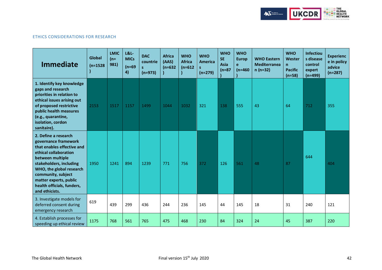

## <span id="page-41-0"></span>ETHICS CONSIDERATIONS FOR RESEARCH

| <b>Immediate</b>                                                                                                                                                                                                                                                               | <b>Global</b><br>$(n=1528)$ | <b>LMIC</b><br>$(n=$<br>981) | <b>L&amp;L-</b><br><b>MICs</b><br>$(n=69)$<br>4) | <b>DAC</b><br>countrie<br>S.<br>$(n=973)$ | <b>Africa</b><br>(AAS)<br>$(n=632)$ | <b>WHO</b><br><b>Africa</b><br>$(n=612)$ | <b>WHO</b><br>America<br>$(n=279)$ | <b>WHO</b><br><b>SE</b><br>Asia<br>$(n=87)$ | <b>WHO</b><br><b>Europ</b><br>e<br>$(n=460)$ | <b>WHO Eastern</b><br><b>Mediterranea</b><br>$n(n=32)$ | <b>WHO</b><br><b>Wester</b><br>n.<br><b>Pacific</b><br>$(n=58)$ | <b>Infectiou</b><br>s disease<br>control<br>expert<br>$(n=499)$ | <b>Experienc</b><br>e in policy<br>advice<br>$(n=287)$ |
|--------------------------------------------------------------------------------------------------------------------------------------------------------------------------------------------------------------------------------------------------------------------------------|-----------------------------|------------------------------|--------------------------------------------------|-------------------------------------------|-------------------------------------|------------------------------------------|------------------------------------|---------------------------------------------|----------------------------------------------|--------------------------------------------------------|-----------------------------------------------------------------|-----------------------------------------------------------------|--------------------------------------------------------|
| 1. Identify key knowledge<br>gaps and research<br>priorities in relation to<br>ethical issues arising out<br>of proposed restrictive<br>public health measures<br>(e.g., quarantine,<br>isolation, cordon<br>sanitaire).                                                       | 2153                        | 1517                         | 1157                                             | 1499                                      | 1044                                | 1032                                     | 321                                | 138                                         | 555                                          | 43                                                     | 64                                                              | 712                                                             | 355                                                    |
| 2. Define a research<br>governance framework<br>that enables effective and<br>ethical collaboration<br>between multiple<br>stakeholders, including<br>WHO, the global research<br>community, subject<br>matter experts, public<br>health officials, funders,<br>and ethicists. | 1950                        | 1241                         | 894                                              | 1239                                      | 771                                 | 756                                      | 372                                | 126                                         | 561                                          | 48                                                     | 87                                                              | 644                                                             | 404                                                    |
| 3. Investigate models for<br>deferred consent during<br>emergency research                                                                                                                                                                                                     | 619                         | 439                          | 299                                              | 436                                       | 244                                 | 236                                      | 145                                | 44                                          | 145                                          | 18                                                     | 31                                                              | 240                                                             | 121                                                    |
| 4. Establish processes for<br>speeding up ethical review                                                                                                                                                                                                                       | 1175                        | 768                          | 561                                              | 765                                       | 475                                 | 468                                      | 230                                | 84                                          | 324                                          | 24                                                     | 45                                                              | 387                                                             | 220                                                    |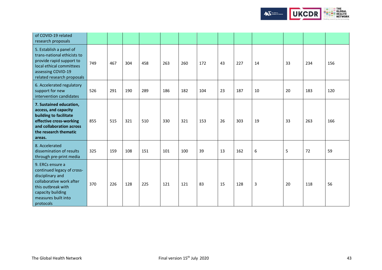

| of COVID-19 related<br>research proposals                                                                                                                                     |     |     |     |     |     |     |     |    |     |    |    |     |     |
|-------------------------------------------------------------------------------------------------------------------------------------------------------------------------------|-----|-----|-----|-----|-----|-----|-----|----|-----|----|----|-----|-----|
| 5. Establish a panel of<br>trans-national ethicists to<br>provide rapid support to<br>local ethical committees<br>assessing COVID-19<br>related research proposals            | 749 | 467 | 304 | 458 | 263 | 260 | 172 | 43 | 227 | 14 | 33 | 234 | 156 |
| 6. Accelerated regulatory<br>support for new<br>intervention candidates                                                                                                       | 526 | 291 | 190 | 289 | 186 | 182 | 104 | 23 | 187 | 10 | 20 | 183 | 120 |
| 7. Sustained education,<br>access, and capacity<br>building to facilitate<br>effective cross-working<br>and collaboration across<br>the research thematic<br>areas.           | 855 | 515 | 321 | 510 | 330 | 321 | 153 | 26 | 303 | 19 | 33 | 263 | 166 |
| 8. Accelerated<br>dissemination of results<br>through pre-print media                                                                                                         | 325 | 159 | 108 | 151 | 101 | 100 | 39  | 13 | 162 | 6  | 5  | 72  | 59  |
| 9. ERCs ensure a<br>continued legacy of cross-<br>disciplinary and<br>collaborative work after<br>this outbreak with<br>capacity building<br>measures built into<br>protocols | 370 | 226 | 128 | 225 | 121 | 121 | 83  | 15 | 128 | 3  | 20 | 118 | 56  |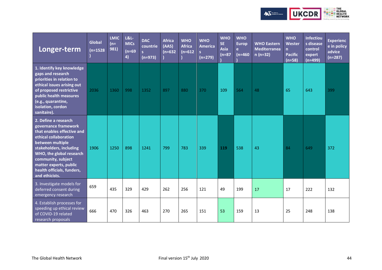

| Longer-term                                                                                                                                                                                                                                                                    | <b>Global</b><br>$(n=1528)$ | <b>LMIC</b><br>$(n=$<br>981) | <b>L&amp;L-</b><br><b>MICs</b><br>$(n=69)$<br>4) | <b>DAC</b><br>countrie<br>$\overline{\mathbf{s}}$<br>$(n=973)$ | <b>Africa</b><br>(AAS)<br>$(n=632)$ | <b>WHO</b><br><b>Africa</b><br>$(n=612)$ | <b>WHO</b><br><b>America</b><br>$(n=279)$ | <b>WHO</b><br><b>SE</b><br><b>Asia</b><br>$(n=87)$ | <b>WHO</b><br><b>Europ</b><br>e.<br>$(n=460)$ | <b>WHO Eastern</b><br><b>Mediterranea</b><br>$n(n=32)$ | <b>WHO</b><br>Wester<br>n.<br><b>Pacific</b><br>$(n=58)$ | <b>Infectiou</b><br>s disease<br>control<br>expert<br>$(n=499)$ | <b>Experienc</b><br>e in policy<br>advice<br>$(n=287)$ |
|--------------------------------------------------------------------------------------------------------------------------------------------------------------------------------------------------------------------------------------------------------------------------------|-----------------------------|------------------------------|--------------------------------------------------|----------------------------------------------------------------|-------------------------------------|------------------------------------------|-------------------------------------------|----------------------------------------------------|-----------------------------------------------|--------------------------------------------------------|----------------------------------------------------------|-----------------------------------------------------------------|--------------------------------------------------------|
| 1. Identify key knowledge<br>gaps and research<br>priorities in relation to<br>ethical issues arising out<br>of proposed restrictive<br>public health measures<br>(e.g., quarantine,<br>isolation, cordon<br>sanitaire).                                                       | 2036                        | 1360                         | 998                                              | 1352                                                           | 897                                 | 880                                      | 370                                       | 109                                                | 564                                           | 48                                                     | 65                                                       | 643                                                             | 399                                                    |
| 2. Define a research<br>governance framework<br>that enables effective and<br>ethical collaboration<br>between multiple<br>stakeholders, including<br>WHO, the global research<br>community, subject<br>matter experts, public<br>health officials, funders,<br>and ethicists. | 1906                        | 1250                         | 898                                              | 1241                                                           | 799                                 | 783                                      | 339                                       | 119                                                | 538                                           | 43                                                     | 84                                                       | 649                                                             | 372                                                    |
| 3. Investigate models for<br>deferred consent during<br>emergency research                                                                                                                                                                                                     | 659                         | 435                          | 329                                              | 429                                                            | 262                                 | 256                                      | 121                                       | 49                                                 | 199                                           | 17                                                     | 17                                                       | 222                                                             | 132                                                    |
| 4. Establish processes for<br>speeding up ethical review<br>of COVID-19 related<br>research proposals                                                                                                                                                                          | 666                         | 470                          | 326                                              | 463                                                            | 270                                 | 265                                      | 151                                       | 53                                                 | 159                                           | 13                                                     | 25                                                       | 248                                                             | 138                                                    |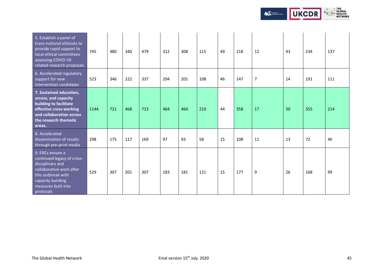

| 5. Establish a panel of<br>trans-national ethicists to<br>provide rapid support to<br>local ethical committees<br>assessing COVID-19<br>related research proposals            | 745  | 480 | 340 | 479 | 312 | 308 | 115 | 49 | 218 | 12             | 43 | 234 | 137 |
|-------------------------------------------------------------------------------------------------------------------------------------------------------------------------------|------|-----|-----|-----|-----|-----|-----|----|-----|----------------|----|-----|-----|
| 6. Accelerated regulatory<br>support for new<br>intervention candidates                                                                                                       | 523  | 346 | 222 | 337 | 204 | 201 | 108 | 46 | 147 | $\overline{7}$ | 14 | 191 | 111 |
| 7. Sustained education,<br>access, and capacity<br>building to facilitate<br>effective cross-working<br>and collaboration across<br>the research thematic<br>areas.           | 1144 | 721 | 468 | 713 | 464 | 464 | 210 | 44 | 358 | 17             | 50 | 355 | 214 |
| 8. Accelerated<br>dissemination of results<br>through pre-print media                                                                                                         | 298  | 175 | 117 | 169 | 97  | 93  | 58  | 15 | 108 | 11             | 13 | 72  | 40  |
| 9. ERCs ensure a<br>continued legacy of cross-<br>disciplinary and<br>collaborative work after<br>this outbreak with<br>capacity building<br>measures built into<br>protocols | 529  | 307 | 201 | 307 | 183 | 181 | 121 | 15 | 177 | 9              | 26 | 168 | 99  |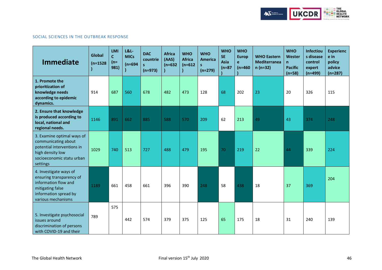

## <span id="page-45-0"></span>SOCIAL SCIENCES IN THE OUTBREAK RESPONSE

| <b>Immediate</b>                                                                                                                              | Global<br>$(n=1528)$ | <b>LMI</b><br>$\mathsf{C}$<br>$(n=$<br>981) | <b>L&amp;L-</b><br><b>MICs</b><br>$(n=694)$ | <b>DAC</b><br>countrie<br>$\mathbf{s}$<br>$(n=973)$ | <b>Africa</b><br>(AAS)<br>$(n=632)$ | <b>WHO</b><br><b>Africa</b><br>$(n=612)$ | <b>WHO</b><br><b>America</b><br>$(n=279)$ | <b>WHO</b><br><b>SE</b><br>Asia<br>$(n=87)$ | <b>WHO</b><br><b>Europ</b><br>e<br>$(n=460)$ | <b>WHO Eastern</b><br><b>Mediterranea</b><br>$n(n=32)$ | <b>WHO</b><br>Wester<br>$\mathsf{n}$<br><b>Pacific</b><br>$(n=58)$ | <b>Infectiou</b><br>s disease<br>control<br>expert<br>$(n=499)$ | <b>Experienc</b><br>e in<br>policy<br>advice<br>$(n=287)$ |
|-----------------------------------------------------------------------------------------------------------------------------------------------|----------------------|---------------------------------------------|---------------------------------------------|-----------------------------------------------------|-------------------------------------|------------------------------------------|-------------------------------------------|---------------------------------------------|----------------------------------------------|--------------------------------------------------------|--------------------------------------------------------------------|-----------------------------------------------------------------|-----------------------------------------------------------|
| 1. Promote the<br>prioritization of<br>knowledge needs<br>according to epidemic<br>dynamics.                                                  | 914                  | 687                                         | 560                                         | 678                                                 | 482                                 | 473                                      | 128                                       | 68                                          | 202                                          | 23                                                     | 20                                                                 | 326                                                             | 115                                                       |
| 2. Ensure that knowledge<br>is produced according to<br>local, national and<br>regional needs.                                                | 1146                 | 891                                         | 662                                         | 885                                                 | 588                                 | 570                                      | 209                                       | 62                                          | 213                                          | 49                                                     | 43                                                                 | 374                                                             | 248                                                       |
| 3. Examine optimal ways of<br>communicating about<br>potential interventions in<br>high density low<br>socioeconomic statu urban<br>settings  | 1029                 | 740                                         | 513                                         | 727                                                 | 488                                 | 479                                      | 195                                       | 70                                          | 219                                          | 22                                                     | 44                                                                 | 339                                                             | 224                                                       |
| 4. Investigate ways of<br>ensuring transparency of<br>information flow and<br>mitigating false<br>information spread by<br>various mechanisms | 1189                 | 661                                         | 458                                         | 661                                                 | 396                                 | 390                                      | 248                                       | 58                                          | 438                                          | 18                                                     | 37                                                                 | 369                                                             | 204                                                       |
| 5. Investigate psychosocial<br>issues around<br>discrimination of persons<br>with COVID-19 and their                                          | 789                  | 575                                         | 442                                         | 574                                                 | 379                                 | 375                                      | 125                                       | 65                                          | 175                                          | 18                                                     | 31                                                                 | 240                                                             | 139                                                       |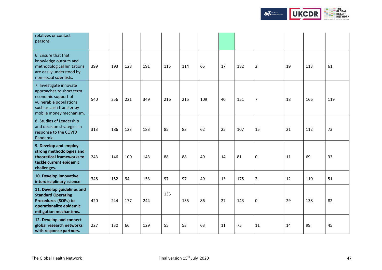

| relatives or contact<br>persons                                                                                                                             |     |     |     |     |     |     |     |    |     |                |    |     |     |
|-------------------------------------------------------------------------------------------------------------------------------------------------------------|-----|-----|-----|-----|-----|-----|-----|----|-----|----------------|----|-----|-----|
| 6. Ensure that that<br>knowledge outputs and<br>methodological limitations<br>are easily understood by<br>non-social scientists.                            | 399 | 193 | 128 | 191 | 115 | 114 | 65  | 17 | 182 | $\overline{2}$ | 19 | 113 | 61  |
| 7. Investigate innovate<br>approaches to short term<br>economic support of<br>vulnerable populations<br>such as cash transfer by<br>mobile money mechanism. | 540 | 356 | 221 | 349 | 216 | 215 | 109 | 40 | 151 | $\overline{7}$ | 18 | 166 | 119 |
| 8. Studies of Leadership<br>and decision strategies in<br>response to the COVID<br>Pandemic.                                                                | 313 | 186 | 123 | 183 | 85  | 83  | 62  | 25 | 107 | 15             | 21 | 112 | 73  |
| 9. Develop and employ<br>strong methodologies and<br>theoretical frameworks to<br>tackle current epidemic<br>challenges.                                    | 243 | 146 | 100 | 143 | 88  | 88  | 49  | 14 | 81  | $\pmb{0}$      | 11 | 69  | 33  |
| 10. Develop innovative<br>interdisciplinary science                                                                                                         | 348 | 152 | 94  | 153 | 97  | 97  | 49  | 13 | 175 | $\overline{2}$ | 12 | 110 | 51  |
| 11. Develop guidelines and<br><b>Standard Operating</b><br>Procedures (SOPs) to<br>operationalize epidemic<br>mitigation mechanisms.                        | 420 | 244 | 177 | 244 | 135 | 135 | 86  | 27 | 143 | $\mathbf 0$    | 29 | 138 | 82  |
| 12. Develop and connect<br>global research networks<br>with response partners.                                                                              | 227 | 130 | 66  | 129 | 55  | 53  | 63  | 11 | 75  | 11             | 14 | 99  | 45  |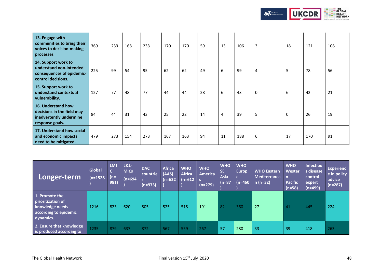

| 13. Engage with<br>communities to bring their<br>voices to decision-making<br>processes           | 369 | 233 | 168 | 233 | 170 | 170 | 59 | 13             | 106 | 3           | 18 | 121 | 108 |
|---------------------------------------------------------------------------------------------------|-----|-----|-----|-----|-----|-----|----|----------------|-----|-------------|----|-----|-----|
| 14. Support work to<br>understand non-intended<br>consequences of epidemic-<br>control decisions. | 225 | 99  | 54  | 95  | 62  | 62  | 49 | 6              | 99  | 4           | 5  | 78  | 56  |
| 15. Support work to<br>understand contextual<br>vulnerability.                                    | 127 | 77  | 48  | 77  | 44  | 44  | 28 | 6              | 43  | $\mathbf 0$ | 6  | 42  | 21  |
| 16. Understand how<br>decisions in the field may<br>inadvertently undermine<br>response goals.    | 84  | 44  | 31  | 43  | 25  | 22  | 14 | $\overline{4}$ | 39  | 5           | 0  | 26  | 19  |
| 17. Understand how social<br>and economic impacts<br>need to be mitigated.                        | 479 | 273 | 154 | 273 | 167 | 163 | 94 | 11             | 188 | 6           | 17 | 170 | 91  |

| Longer-term                                                                                  | Global<br>$(n=1528)$ | <b>LMI</b><br>$\overline{c}$<br>$(n=$<br>981) | <b>L&amp;L-</b><br><b>MICs</b><br>$(n=694)$ | <b>DAC</b><br>countrie<br>$(n=973)$ | <b>Africa</b><br>(AAS)<br>(n=632 | <b>WHO</b><br><b>Africa</b><br>$(n=612)$ | <b>WHO</b><br><b>America</b><br>$(n=279)$ | <b>WHO</b><br><b>SE</b><br><b>Asia</b><br>$(n=87)$ | <b>WHO</b><br><b>Europ</b><br>e<br>(n=460 | <b>WHO Eastern</b><br><b>Mediterranea</b><br>$n(n=32)$ | <b>WHO</b><br>Wester<br>$\mathsf{n}$<br><b>Pacific</b><br>$(n=58)$ | <b>Infectiou</b><br>s disease<br>control<br>expert<br>$(n=499)$ | <b>Experienc</b><br>e in policy<br>advice<br>$(n=287)$ |
|----------------------------------------------------------------------------------------------|----------------------|-----------------------------------------------|---------------------------------------------|-------------------------------------|----------------------------------|------------------------------------------|-------------------------------------------|----------------------------------------------------|-------------------------------------------|--------------------------------------------------------|--------------------------------------------------------------------|-----------------------------------------------------------------|--------------------------------------------------------|
| 1. Promote the<br>prioritization of<br>knowledge needs<br>according to epidemic<br>dynamics. | 1216                 | 823                                           | 620                                         | 805                                 | 525                              | 515                                      | 191                                       | 82                                                 | 360                                       | 27                                                     | 41                                                                 | 445                                                             | 224                                                    |
| 2. Ensure that knowledge<br>is produced according to                                         | 1235                 | 879                                           | 637                                         | 872                                 | 567                              | 559                                      | 267                                       | 57                                                 | 280                                       | 33                                                     | 39                                                                 | 418                                                             | 263                                                    |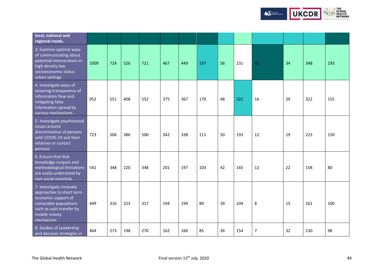

| local, national and<br>regional needs.                                                                                                                         |      |     |     |     |     |     |     |    |     |                |    |     |     |
|----------------------------------------------------------------------------------------------------------------------------------------------------------------|------|-----|-----|-----|-----|-----|-----|----|-----|----------------|----|-----|-----|
| 3. Examine optimal ways<br>of communicating about<br>potential interventions in<br>high density low<br>socioeconomic status<br>urban settings                  | 1009 | 724 | 526 | 721 | 467 | 449 | 197 | 56 | 231 | 42             | 34 | 348 | 193 |
| 4. Investigate ways of<br>ensuring transparency of<br>information flow and<br>mitigating false<br>information spread by<br>various mechanisms                  | 952  | 551 | 408 | 552 | 375 | 367 | 170 | 48 | 322 | 16             | 29 | 322 | 155 |
| 5. Investigate psychosocial<br>issues around<br>discrimination of persons<br>with COVID-19 and their<br>relatives or contact<br>persons                        | 723  | 506 | 386 | 500 | 342 | 338 | 111 | 50 | 193 | 12             | 19 | 223 | 150 |
| 6. Ensure that that<br>knowledge outputs and<br>methodological limitations<br>are easily understood by<br>non-social scientists.                               | 541  | 348 | 220 | 348 | 201 | 197 | 103 | 42 | 165 | 12             | 22 | 158 | 80  |
| 7. Investigate innovate<br>approaches to short term<br>economic support of<br>vulnerable populations<br>such as cash transfer by<br>mobile money<br>mechanism. | 449  | 316 | 223 | 317 | 194 | 194 | 89  | 39 | 104 | 8              | 15 | 161 | 100 |
| 8. Studies of Leadership<br>and decision strategies in                                                                                                         | 464  | 273 | 198 | 270 | 162 | 160 | 85  | 26 | 154 | $\overline{7}$ | 32 | 130 | 98  |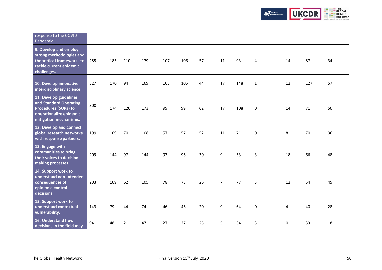

| response to the COVID<br>Pandemic.                                                                                            |     |     |     |     |     |     |    |                |     |             |    |     |    |
|-------------------------------------------------------------------------------------------------------------------------------|-----|-----|-----|-----|-----|-----|----|----------------|-----|-------------|----|-----|----|
| 9. Develop and employ<br>strong methodologies and<br>theoretical frameworks to<br>tackle current epidemic<br>challenges.      | 285 | 185 | 110 | 179 | 107 | 106 | 57 | 11             | 93  | 4           | 14 | 87  | 34 |
| 10. Develop innovative<br>interdisciplinary science                                                                           | 327 | 170 | 94  | 169 | 105 | 105 | 44 | 17             | 148 | $\mathbf 1$ | 12 | 127 | 57 |
| 11. Develop guidelines<br>and Standard Operating<br>Procedures (SOPs) to<br>operationalize epidemic<br>mitigation mechanisms. | 300 | 174 | 120 | 173 | 99  | 99  | 62 | 17             | 108 | 0           | 14 | 71  | 50 |
| 12. Develop and connect<br>global research networks<br>with response partners.                                                | 199 | 109 | 70  | 108 | 57  | 57  | 52 | 11             | 71  | 0           | 8  | 70  | 36 |
| 13. Engage with<br>communities to bring<br>their voices to decision-<br>making processes                                      | 209 | 144 | 97  | 144 | 97  | 96  | 30 | 9              | 53  | 3           | 18 | 66  | 48 |
| 14. Support work to<br>understand non-intended<br>consequences of<br>epidemic-control<br>decisions.                           | 203 | 109 | 62  | 105 | 78  | 78  | 26 | $\overline{7}$ | 77  | 3           | 12 | 54  | 45 |
| 15. Support work to<br>understand contextual<br>vulnerability.                                                                | 143 | 79  | 44  | 74  | 46  | 46  | 20 | 9              | 64  | 0           | 4  | 40  | 28 |
| 16. Understand how<br>decisions in the field may                                                                              | 94  | 48  | 21  | 47  | 27  | 27  | 25 | 5              | 34  | 3           | 0  | 33  | 18 |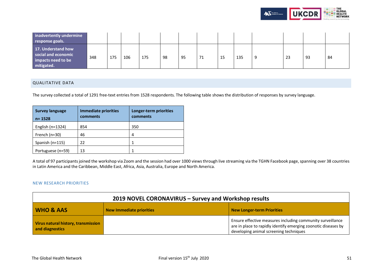

| inadvertently undermine<br>response goals.                                    |     |     |     |     |    |    |     |   |     |    |    |    |
|-------------------------------------------------------------------------------|-----|-----|-----|-----|----|----|-----|---|-----|----|----|----|
| 17. Understand how<br>social and economic<br>impacts need to be<br>mitigated. | 348 | 175 | 106 | 175 | 98 | 95 | , 1 | ᅩ | 135 | 23 | 93 | 84 |

## <span id="page-50-0"></span>QUALITATIVE DATA

The survey collected a total of 1291 free-text entries from 1528 respondents. The following table shows the distribution of responses by survey language.

| <b>Survey language</b><br>$n = 1528$ | <b>Immediate priorities</b><br>comments | Longer-term priorities<br>comments |
|--------------------------------------|-----------------------------------------|------------------------------------|
| English ( $n=1324$ )                 | 854                                     | 350                                |
| French $(n=30)$                      | 46                                      | 4                                  |
| Spanish (n=115)                      | 22                                      |                                    |
| Portuguese (n=59)                    | 13                                      |                                    |

A total of 97 participants joined the workshop via Zoom and the session had over 1000 viewsthrough live streaming via the TGHN Facebook page, spanning over 38 countries in Latin America and the Caribbean, Middle East, Africa, Asia, Australia, Europe and North America.

### <span id="page-50-1"></span>NEW RESEARCH PRIORITIES

| 2019 NOVEL CORONAVIRUS - Survey and Workshop results                                         |  |                                                                                                                                                                        |  |
|----------------------------------------------------------------------------------------------|--|------------------------------------------------------------------------------------------------------------------------------------------------------------------------|--|
| <b>WHO &amp; AAS</b><br><b>New Immediate priorities</b><br><b>New Longer-term Priorities</b> |  |                                                                                                                                                                        |  |
| Virus natural history, transmission<br>and diagnostics                                       |  | Ensure effective measures including community surveillance<br>are in place to rapidly identify emerging zoonotic diseases by<br>developing animal screening techniques |  |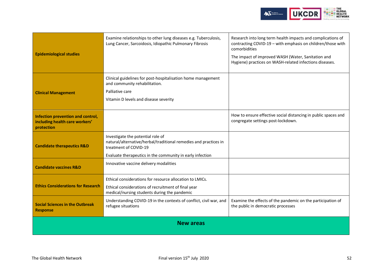

| <b>Epidemiological studies</b>                                                    | Examine relationships to other lung diseases e.g. Tuberculosis,<br>Lung Cancer, Sarcoidosis, Idiopathic Pulmonary Fibrosis                                                                  | Research into long term health impacts and complications of<br>contracting COVID-19 - with emphasis on children/those with<br>comorbidities<br>The impact of improved WASH (Water, Sanitation and<br>Hygiene) practices on WASH-related infections diseases. |  |  |  |
|-----------------------------------------------------------------------------------|---------------------------------------------------------------------------------------------------------------------------------------------------------------------------------------------|--------------------------------------------------------------------------------------------------------------------------------------------------------------------------------------------------------------------------------------------------------------|--|--|--|
| <b>Clinical Management</b>                                                        | Clinical guidelines for post-hospitalisation home management<br>and community rehabilitation.<br>Palliative care<br>Vitamin D levels and disease severity                                   |                                                                                                                                                                                                                                                              |  |  |  |
| Infection prevention and control,<br>including health care workers'<br>protection |                                                                                                                                                                                             | How to ensure effective social distancing in public spaces and<br>congregate settings post-lockdown.                                                                                                                                                         |  |  |  |
| <b>Candidate therapeutics R&amp;D</b>                                             | Investigate the potential role of<br>natural/alternative/herbal/traditional remedies and practices in<br>treatment of COVID-19<br>Evaluate therapeutics in the community in early infection |                                                                                                                                                                                                                                                              |  |  |  |
| <b>Candidate vaccines R&amp;D</b>                                                 | Innovative vaccine delivery modalities                                                                                                                                                      |                                                                                                                                                                                                                                                              |  |  |  |
| <b>Ethics Considerations for Research</b>                                         | Ethical considerations for resource allocation to LMICs.<br>Ethical considerations of recruitment of final year<br>medical/nursing students during the pandemic                             |                                                                                                                                                                                                                                                              |  |  |  |
| <b>Social Sciences in the Outbreak</b><br><b>Response</b>                         | Understanding COVID-19 in the contexts of conflict, civil war, and<br>refugee situations                                                                                                    | Examine the effects of the pandemic on the participation of<br>the public in democratic processes                                                                                                                                                            |  |  |  |
|                                                                                   | <b>New areas</b>                                                                                                                                                                            |                                                                                                                                                                                                                                                              |  |  |  |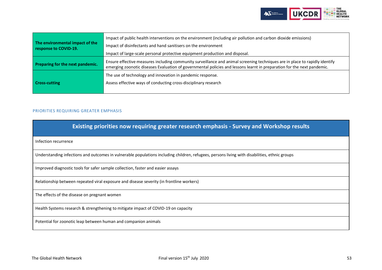

| The environmental impact of the<br>response to COVID-19.                                                                                                                                                                                                                                   | Impact of public health interventions on the environment (including air pollution and carbon dioxide emissions)<br>Impact of disinfectants and hand sanitisers on the environment<br>Impact of large-scale personal protective equipment production and disposal. |  |  |
|--------------------------------------------------------------------------------------------------------------------------------------------------------------------------------------------------------------------------------------------------------------------------------------------|-------------------------------------------------------------------------------------------------------------------------------------------------------------------------------------------------------------------------------------------------------------------|--|--|
| Ensure effective measures including community surveillance and animal screening techniques are in place to rapidly identify<br>Preparing for the next pandemic.<br>emerging zoonotic diseases Evaluation of governmental policies and lessons learnt in preparation for the next pandemic. |                                                                                                                                                                                                                                                                   |  |  |
| <b>Cross-cutting</b>                                                                                                                                                                                                                                                                       | The use of technology and innovation in pandemic response.<br>Assess effective ways of conducting cross-disciplinary research                                                                                                                                     |  |  |

## <span id="page-52-0"></span>PRIORITIES REQUIRING GREATER EMPHASIS

| <b>Existing priorities now requiring greater research emphasis - Survey and Workshop results</b>                                              |
|-----------------------------------------------------------------------------------------------------------------------------------------------|
| Infection recurrence                                                                                                                          |
| Understanding infections and outcomes in vulnerable populations including children, refugees, persons living with disabilities, ethnic groups |
| Improved diagnostic tools for safer sample collection, faster and easier assays                                                               |
| Relationship between repeated viral exposure and disease severity (in frontline workers)                                                      |
| The effects of the disease on pregnant women                                                                                                  |
| Health Systems research & strengthening to mitigate impact of COVID-19 on capacity                                                            |
| Potential for zoonotic leap between human and companion animals                                                                               |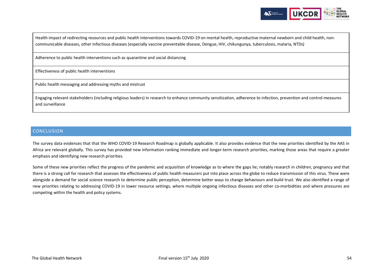

Health impact of redirecting resources and public health interventions towards COVID-19 on mental health, reproductive maternal newborn and child health, noncommunicable diseases, other infectious diseases (especially vaccine preventable disease, Dengue, HIV, chikungunya, tuberculosis, malaria, NTDs)

Adherence to public health interventions such as quarantine and social distancing

Effectiveness of public health interventions

Public health messaging and addressing myths and mistrust

Engaging relevant stakeholders (including religious leaders) in research to enhance community sensitization, adherence to infection, prevention and control measures and surveillance

## <span id="page-53-0"></span>**CONCLUSION**

The survey data evidences that that the WHO COVID-19 Research Roadmap is globally applicable. It also provides evidence that the new priorities identified by the AAS in Africa are relevant globally. This survey has provided new information ranking immediate and longer-term research priorities, marking those areas that require a greater emphasis and identifying new research priorities.

<span id="page-53-1"></span>Some of these new priorities reflect the progress of the pandemic and acquisition of knowledge as to where the gaps lie; notably research in children, pregnancy and that there is a strong call for research that assesses the effectiveness of public health measurers put into place across the globe to reduce transmission of this virus. These were alongside a demand for social science research to determine public perception, determine better ways to change behaviours and build trust. We also identified a range of new priorities relating to addressing COVID-19 in lower resource settings, where multiple ongoing infectious diseases and other co-morbidities and where pressures are competing within the health and policy systems.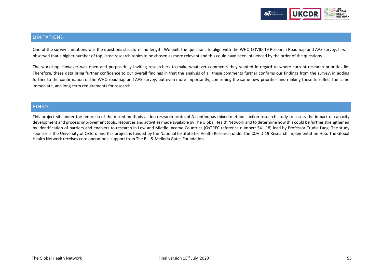

## LIMITATIONS

One of the survey limitations was the questions structure and length. We built the questions to align with the WHO COVID-19 Research Roadmap and AAS survey. It was observed that a higher number of top-listed research topics to be chosen as more relevant and this could have been influenced by the order of the questions.

The workshop, however was open and purposefully inviting researchers to make whatever comments they wanted in regard to where current research priorities lie. Therefore, these data bring further confidence to our overall findings in that the analysis of all these comments further confirms our findings from the survey, in adding further to the confirmation of the WHO roadmap and AAS survey, but even more importantly, confirming the same new priorities and ranking these to reflect the same immediate, and long-term requirements for research.

## <span id="page-54-0"></span>**ETHICS**

<span id="page-54-1"></span>This project sits under the umbrella of the mixed methods action research protocol A continuous mixed methods action research study to assess the impact of capacity development and process improvement tools, resources and activities made available by The Global Health Network and to determine how this could be further strengthened by identification of barriers and enablers to research in Low and Middle Income Countries (OxTREC reference number: 541-18) lead by Professor Trudie Lang. The study sponsor is the University of Oxford and this project is funded by the National Institute for Health Research under the COVID-19 Research Implementation Hub. The Global Health Network receives core operational support from The Bill & Melinda Gates Foundation.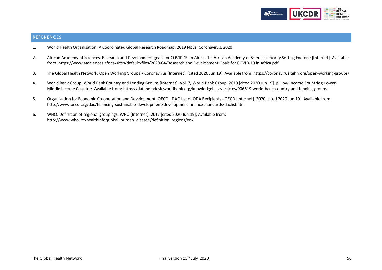

## REFERENCES

- 1. World Health Organisation. A Coordinated Global Research Roadmap: 2019 Novel Coronavirus. 2020.
- 2. African Academy of Sciences. Research and Development goals for COVID-19 in Africa The African Academy of Sciences Priority Setting Exercise [Internet]. Available from: https://www.aasciences.africa/sites/default/files/2020-04/Research and Development Goals for COVID-19 in Africa.pdf
- 3. The Global Health Network. Open Working Groups Coronavirus [Internet]. [cited 2020 Jun 19]. Available from: https://coronavirus.tghn.org/open-working-groups/
- 4. World Bank Group. World Bank Country and Lending Groups [Internet]. Vol. 7, World Bank Group. 2019 [cited 2020 Jun 19]. p. Low-Income Countries; Lower-Middle Income Countrie. Available from: https://datahelpdesk.worldbank.org/knowledgebase/articles/906519-world-bank-country-and-lending-groups
- 5. Organisation for Economic Co-operation and Development (OECD). DAC List of ODA Recipients OECD [Internet]. 2020 [cited 2020 Jun 19]. Available from: http://www.oecd.org/dac/financing-sustainable-development/development-finance-standards/daclist.htm
- 6. WHO. Definition of regional groupings. WHO [Internet]. 2017 [cited 2020 Jun 19]; Available from: http://www.who.int/healthinfo/global\_burden\_disease/definition\_regions/en/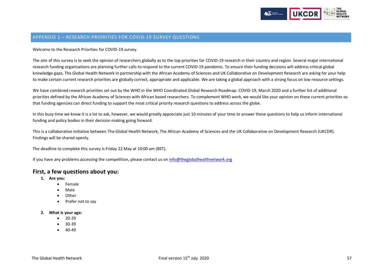

## <span id="page-56-0"></span>APPENDIX 1 – RESEARCH PRIORITIES FOR COVID-19 SURVEY QUESTIONS

Welcome to the Research Priorities for COVID-19 survey.

The aim of this survey is to seek the opinion of researchers globally as to the top priorities for COVID-19 research in their country and region. Several major international research funding organisations are planning further calls to respond to the current COVID-19 pandemic. To ensure their funding decisions will address critical global knowledge gaps, The Global Health Network in partnership with the African Academy of Sciences and UK Collaborative on Development Research are asking for your help to make certain current research priorities are globally correct, appropriate and applicable. We are taking a global approach with a strong focus on low resource settings.

We have combined research priorities set out by the WHO in the WHO Coordinated Global Research Roadmap: COVID-19, March 2020 and a further list of additional priorities defined by the African Academy of Sciences with African based researchers. To complement WHO work, we would like your opinion on these current priorities so that funding agencies can direct funding to support the most critical priority research questions to address across the globe.

In this busy time we know it is a lot to ask, however, we would greatly appreciate just 10 minutes of your time to answer these questions to help us inform international funding and policy bodies in their decision making going forward.

This is a collaborative initiative between The Global Health Network, The African Academy of Sciences and the UK Collaborative on Development Research (UKCDR). Findings will be shared openly.

The deadline to complete this survey is Friday 22 May at 10:00 am (BST).

If you have any problems accessing the competition, please contact us o[n info@theglobalhealthnetwork.org](mailto:info@theglobalhealthnetwork.org)

## **First, a few questions about you:**

- **1. Are you:** 
	- Female
	- Male
	- Other
	- Prefer not to say

#### **2. What is your age:**

- 20-29
- 30-39
- 40-49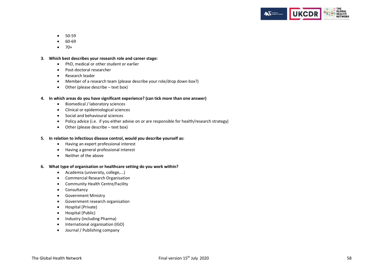

- 50-59
- 60-69
- $70+$

#### **3. Which best describes your research role and career stage:**

- PhD, medical or other student or earlier
- Post-doctoral researcher
- Research leader
- Member of a research team (please describe your role/drop down box?)
- Other (please describe text box)

#### **4. In which areas do you have significant experience? (can tick more than one answer)**

- Biomedical / laboratory sciences
- Clinical or epidemiological sciences
- Social and behavioural sciences
- Policy advice (i.e. if you either advise on or are responsible for health/research strategy)
- Other (please describe text box)

#### **5. In relation to infectious disease control, would you describe yourself as:**

- Having an expert professional interest
- Having a general professional interest
- Neither of the above

#### **6. What type of organisation or healthcare setting do you work within?**

- Academia (university, college,...)
- Commercial Research Organisation
- Community Health Centre/Facility
- Consultancy
- Government Ministry
- Government research organisation
- Hospital (Private)
- Hospital (Public)
- Industry (including Pharma)
- International organisation (IGO)
- Journal / Publishing company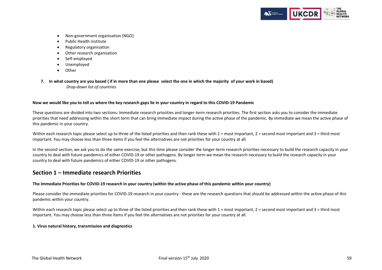

- Non-government organisation (NGO)
- Public Health institute
- Regulatory organisation
- Other research organisation
- Self-employed
- Unemployed
- Other
- **7. In what country are you based ( if in more than one please select the one in which the majority of your work in based)** *Drop-down list of countries*

#### **Now we would like you to tell us where the key research gaps lie in your country in regard to this COVID-19 Pandemic**

These questions are divided into two sections: Immediate research priorities and longer-term research priorities. The first section asks you to consider the immediate priorities that need addressing within the short term that can bring immediate impact during the active phase of the pandemic. By immediate we mean the active phase of this pandemic in your country.

Within each research topic please select up to three of the listed priorities and then rank these with  $1 =$  most important,  $2 =$  second most important and  $3 =$  third most important. You may choose less than three items if you feel the alternatives are not priorities for your country at all.

In the second section, we ask you to do the same exercise, but this time please consider the longer-term research priorities necessary to build the research capacity in your country to deal with future pandemics of either COVID-19 or other pathogens. By longer term we mean the research necessary to build the research capacity in your country to deal with future pandemics of either COVID-19 or other pathogens.

# **Section 1 – Immediate research Priorities**

#### **The Immediate Priorities for COVID-19 research in your country (within the active phase of this pandemic within your country)**

Please consider the immediate priorities for COVID-19 research in your country - these are the research questions that should be addressed within the active phase of this pandemic within your country.

Within each research topic please select up to three of the listed priorities and then rank these with  $1 =$  most important,  $2 =$  second most important and  $3 =$  third most important. You may choose less than three items if you feel the alternatives are not priorities for your country at all.

#### **1. Virus natural history, transmission and diagnostics**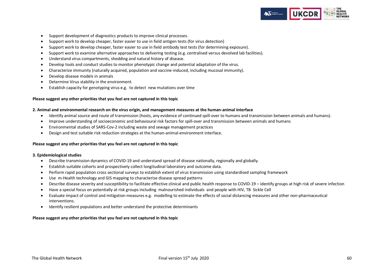

- Support development of diagnostics products to improve clinical processes.
- Support work to develop cheaper, faster easier to use in field antigen tests (for virus detection)
- Support work to develop cheaper, faster easier to use in field antibody test tests (for determining exposure).
- Support work to examine alternative approaches to delivering testing (e.g. centralised versus devolved lab facilities).
- Understand virus compartments, shedding and natural history of disease.
- Develop tools and conduct studies to monitor phenotypic change and potential adaptation of the virus.
- Characterize immunity (naturally acquired, population and vaccine-induced, including mucosal immunity).
- Develop disease models in animals
- Determine Virus stability in the environment.
- Establish capacity for genotyping virus e.g. to detect new mutations over time

#### **Please suggest any other priorities that you feel are not captured in this topic**

#### **2. Animal and environmental research on the virus origin, and management measures at the human-animal interface**

- Identify animal source and route of transmission (hosts, any evidence of continued spill-over to humans and transmission between animals and humans).
- Improve understanding of socioeconomic and behavioural risk factors for spill-over and transmission between animals and humans
- Environmental studies of SARS-Cov-2 including waste and sewage management practices
- Design and test suitable risk reduction strategies at the human-animal-environment interface.

#### **Please suggest any other priorities that you feel are not captured in this topic**

#### **3. Epidemiological studies**

- Describe transmission dynamics of COVID-19 and understand spread of disease nationally, regionally and globally.
- Establish suitable cohorts and prospectively collect longitudinal laboratory and outcome data.
- Perform rapid population cross sectional surveys to establish extent of virus transmission using standardised sampling framework
- Use m-Health technology and GIS mapping to characterise disease spread patterns
- Describe disease severity and susceptibility to facilitate effective clinical and public health response to COVID-19 identify groups at high risk of severe infection
- Have a special focus on potentially at risk groups including malnourished individuals and people with HIV, TB Sickle Cell
- Evaluate impact of control and mitigation measures e.g. modelling to estimate the effects of social distancing measures and other non-pharmaceutical interventions.
- Identify resilient populations and better understand the protective determinants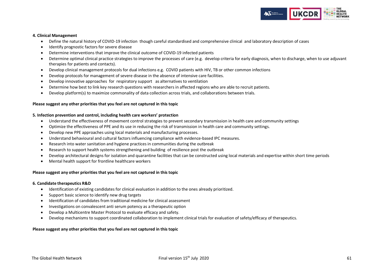

#### **4. Clinical Management**

- Define the natural history of COVID-19 infection though careful standardised and comprehensive clinical and laboratory description of cases
- Identify prognostic factors for severe disease
- Determine interventions that improve the clinical outcome of COVID-19 infected patients
- Determine optimal clinical practice strategies to improve the processes of care (e.g. develop criteria for early diagnosis, when to discharge, when to use adjuvant therapies for patients and contacts).
- Develop clinical management protocols for dual infections e.g. COVID patients with HIV, TB or other common infections
- Develop protocols for management of severe disease in the absence of intensive care facilities.
- Develop innovative approaches for respiratory support as alternatives to ventilation
- Determine how best to link key research questions with researchers in affected regions who are able to recruit patients.
- Develop platform(s) to maximize commonality of data collection across trials, and collaborations between trials.

#### **Please suggest any other priorities that you feel are not captured in this topic**

#### **5. Infection prevention and control, including health care workers' protection**

- Understand the effectiveness of movement control strategies to prevent secondary transmission in health care and community settings
- Optimize the effectiveness of PPE and its use in reducing the risk of transmission in health care and community settings.
- Develop new PPE approaches using local materials and manufacturing processes.
- Understand behavioural and cultural factors influencing compliance with evidence-based IPC measures.
- Research into water sanitation and hygiene practices in communities during the outbreak
- Research to support health systems strengthening and building of resilience post the outbreak
- Develop architectural designs for isolation and quarantine facilities that can be constructed using local materials and expertise within short time periods
- Mental health support for frontline healthcare workers

#### **Please suggest any other priorities that you feel are not captured in this topic**

#### **6. Candidate therapeutics R&D**

- Identification of existing candidates for clinical evaluation in addition to the ones already prioritized.
- Support basic science to identify new drug targets
- Identification of candidates from traditional medicine for clinical assessment
- Investigations on convalescent anti serum potency as a therapeutic option
- Develop a Multicentre Master Protocol to evaluate efficacy and safety.
- Develop mechanisms to support coordinated collaboration to implement clinical trials for evaluation of safety/efficacy of therapeutics.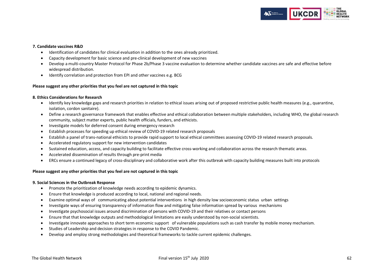

#### **7. Candidate vaccines R&D**

- Identification of candidates for clinical evaluation in addition to the ones already prioritized.
- Capacity development for basic science and pre-clinical development of new vaccines
- Develop a multi-country Master Protocol for Phase 2b/Phase 3 vaccine evaluation to determine whether candidate vaccines are safe and effective before widespread distribution.
- Identify correlation and protection from EPI and other vaccines e.g. BCG

#### **Please suggest any other priorities that you feel are not captured in this topic**

#### **8. Ethics Considerations for Research**

- Identify key knowledge gaps and research priorities in relation to ethical issues arising out of proposed restrictive public health measures (e.g., quarantine, isolation, cordon sanitaire).
- Define a research governance framework that enables effective and ethical collaboration between multiple stakeholders, including WHO, the global research community, subject matter experts, public health officials, funders, and ethicists.
- Investigate models for deferred consent during emergency research
- Establish processes for speeding up ethical review of COVID-19 related research proposals
- Establish a panel of trans-national ethicists to provide rapid support to local ethical committees assessing COVID-19 related research proposals.
- Accelerated regulatory support for new intervention candidates
- Sustained education, access, and capacity building to facilitate effective cross-working and collaboration across the research thematic areas.
- Accelerated dissemination of results through pre-print media
- ERCs ensure a continued legacy of cross-disciplinary and collaborative work after this outbreak with capacity building measures built into protocols

#### **Please suggest any other priorities that you feel are not captured in this topic**

#### **9. Social Sciences in the Outbreak Response**

- Promote the prioritization of knowledge needs according to epidemic dynamics.
- Ensure that knowledge is produced according to local, national and regional needs.
- Examine optimal ways of communicating about potential interventions in high density low socioeconomic status urban settings
- Investigate ways of ensuring transparency of information flow and mitigating false information spread by various mechanisms
- Investigate psychosocial issues around discrimination of persons with COVID-19 and their relatives or contact persons
- Ensure that that knowledge outputs and methodological limitations are easily understood by non-social scientists.
- Investigate innovate approaches to short term economic support of vulnerable populations such as cash transfer by mobile money mechanism.
- Studies of Leadership and decision strategies in response to the COVID Pandemic.
- Develop and employ strong methodologies and theoretical frameworks to tackle current epidemic challenges.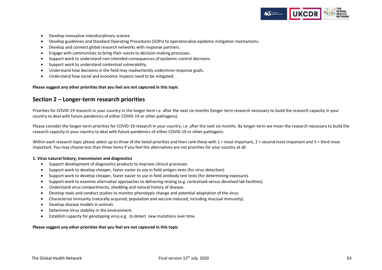

- Develop innovative interdisciplinary science
- Develop guidelines and Standard Operating Procedures (SOPs) to operationalize epidemic mitigation mechanisms.
- Develop and connect global research networks with response partners.
- Engage with communities to bring their voices to decision-making processes.
- Support work to understand non-intended consequences of epidemic-control decisions.
- Support work to understand contextual vulnerability.
- Understand how decisions in the field may inadvertently undermine response goals.
- Understand how social and economic impacts need to be mitigated.

#### **Please suggest any other priorities that you feel are not captured in this topic**

## **Section 2 – Longer-term research priorities**

Priorities for COVID-19 research in your country in the longer term i.e. after the next six months (longer term research necessary to build the research capacity in your country to deal with future pandemics of either COVID-19 or other pathogens).

Please consider the longer-term priorities for COVID-19 research in your country, i.e. after the next six months. By longer-term we mean the research necessary to build the research capacity in your country to deal with future pandemics of either COVID-19 or other pathogens.

Within each research topic please select up to three of the listed priorities and then rank these with  $1 = \text{most important}$ ,  $2 = \text{second most important}$  and  $3 = \text{third most}$ important. You may choose less than three items if you feel the alternatives are not priorities for your country at all.

#### **1. Virus natural history, transmission and diagnostics**

- Support development of diagnostics products to improve clinical processes.
- Support work to develop cheaper, faster easier to use in field antigen tests (for virus detection)
- Support work to develop cheaper, faster easier to use in field antibody test tests (for determining exposure).
- Support work to examine alternative approaches to delivering testing (e.g. centralised versus devolved lab facilities).
- Understand virus compartments, shedding and natural history of disease.
- Develop tools and conduct studies to monitor phenotypic change and potential adaptation of the virus.
- Characterize immunity (naturally acquired, population and vaccine-induced, including mucosal immunity).
- Develop disease models in animals
- Determine Virus stability in the environment.
- Establish capacity for genotyping virus e.g. to detect new mutations over time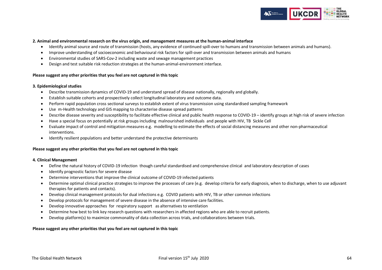

#### **2. Animal and environmental research on the virus origin, and management measures at the human-animal interface**

- Identify animal source and route of transmission (hosts, any evidence of continued spill-over to humans and transmission between animals and humans).
- Improve understanding of socioeconomic and behavioural risk factors for spill-over and transmission between animals and humans
- Environmental studies of SARS-Cov-2 including waste and sewage management practices
- Design and test suitable risk reduction strategies at the human-animal-environment interface.

#### **Please suggest any other priorities that you feel are not captured in this topic**

#### **3. Epidemiological studies**

- Describe transmission dynamics of COVID-19 and understand spread of disease nationally, regionally and globally.
- Establish suitable cohorts and prospectively collect longitudinal laboratory and outcome data.
- Perform rapid population cross sectional surveys to establish extent of virus transmission using standardised sampling framework
- Use m-Health technology and GIS mapping to characterise disease spread patterns
- Describe disease severity and susceptibility to facilitate effective clinical and public health response to COVID-19 identify groups at high risk of severe infection
- Have a special focus on potentially at risk groups including malnourished individuals and people with HIV, TB Sickle Cell
- Evaluate impact of control and mitigation measures e.g. modelling to estimate the effects of social distancing measures and other non-pharmaceutical interventions.
- Identify resilient populations and better understand the protective determinants

#### **Please suggest any other priorities that you feel are not captured in this topic**

#### **4. Clinical Management**

- Define the natural history of COVID-19 infection though careful standardised and comprehensive clinical and laboratory description of cases
- Identify prognostic factors for severe disease
- Determine interventions that improve the clinical outcome of COVID-19 infected patients
- Determine optimal clinical practice strategies to improve the processes of care (e.g. develop criteria for early diagnosis, when to discharge, when to use adjuvant therapies for patients and contacts).
- Develop clinical management protocols for dual infections e.g. COVID patients with HIV, TB or other common infections
- Develop protocols for management of severe disease in the absence of intensive care facilities.
- Develop innovative approaches for respiratory support as alternatives to ventilation
- Determine how best to link key research questions with researchers in affected regions who are able to recruit patients.
- Develop platform(s) to maximize commonality of data collection across trials, and collaborations between trials.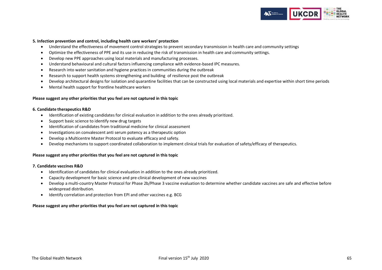

#### **5. Infection prevention and control, including health care workers' protection**

- Understand the effectiveness of movement control strategies to prevent secondary transmission in health care and community settings
- Optimize the effectiveness of PPE and its use in reducing the risk of transmission in health care and community settings.
- Develop new PPE approaches using local materials and manufacturing processes.
- Understand behavioural and cultural factors influencing compliance with evidence-based IPC measures.
- Research into water sanitation and hygiene practices in communities during the outbreak
- Research to support health systems strengthening and building of resilience post the outbreak
- Develop architectural designs for isolation and quarantine facilities that can be constructed using local materials and expertise within short time periods
- Mental health support for frontline healthcare workers

#### **Please suggest any other priorities that you feel are not captured in this topic**

#### **6. Candidate therapeutics R&D**

- Identification of existing candidates for clinical evaluation in addition to the ones already prioritized.
- Support basic science to identify new drug targets
- Identification of candidates from traditional medicine for clinical assessment
- Investigations on convalescent anti serum potency as a therapeutic option
- Develop a Multicentre Master Protocol to evaluate efficacy and safety.
- Develop mechanisms to support coordinated collaboration to implement clinical trials for evaluation of safety/efficacy of therapeutics.

#### **Please suggest any other priorities that you feel are not captured in this topic**

#### **7. Candidate vaccines R&D**

- Identification of candidates for clinical evaluation in addition to the ones already prioritized.
- Capacity development for basic science and pre-clinical development of new vaccines
- Develop a multi-country Master Protocol for Phase 2b/Phase 3 vaccine evaluation to determine whether candidate vaccines are safe and effective before widespread distribution.
- Identify correlation and protection from EPI and other vaccines e.g. BCG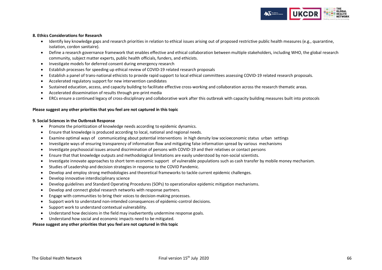

#### **8. Ethics Considerations for Research**

- Identify key knowledge gaps and research priorities in relation to ethical issues arising out of proposed restrictive public health measures (e.g., quarantine, isolation, cordon sanitaire).
- Define a research governance framework that enables effective and ethical collaboration between multiple stakeholders, including WHO, the global research community, subject matter experts, public health officials, funders, and ethicists.
- Investigate models for deferred consent during emergency research
- Establish processes for speeding up ethical review of COVID-19 related research proposals
- Establish a panel of trans-national ethicists to provide rapid support to local ethical committees assessing COVID-19 related research proposals.
- Accelerated regulatory support for new intervention candidates
- Sustained education, access, and capacity building to facilitate effective cross-working and collaboration across the research thematic areas.
- Accelerated dissemination of results through pre-print media
- ERCs ensure a continued legacy of cross-disciplinary and collaborative work after this outbreak with capacity building measures built into protocols

#### **Please suggest any other priorities that you feel are not captured in this topic**

#### **9. Social Sciences in the Outbreak Response**

- Promote the prioritization of knowledge needs according to epidemic dynamics.
- Ensure that knowledge is produced according to local, national and regional needs.
- Examine optimal ways of communicating about potential interventions in high density low socioeconomic status urban settings
- Investigate ways of ensuring transparency of information flow and mitigating false information spread by various mechanisms
- Investigate psychosocial issues around discrimination of persons with COVID-19 and their relatives or contact persons
- Ensure that that knowledge outputs and methodological limitations are easily understood by non-social scientists.
- Investigate innovate approaches to short term economic support of vulnerable populations such as cash transfer by mobile money mechanism.
- Studies of Leadership and decision strategies in response to the COVID Pandemic.
- Develop and employ strong methodologies and theoretical frameworks to tackle current epidemic challenges.
- Develop innovative interdisciplinary science
- Develop guidelines and Standard Operating Procedures (SOPs) to operationalize epidemic mitigation mechanisms.
- Develop and connect global research networks with response partners.
- Engage with communities to bring their voices to decision-making processes.
- Support work to understand non-intended consequences of epidemic-control decisions.
- Support work to understand contextual vulnerability.
- Understand how decisions in the field may inadvertently undermine response goals.
- Understand how social and economic impacts need to be mitigated.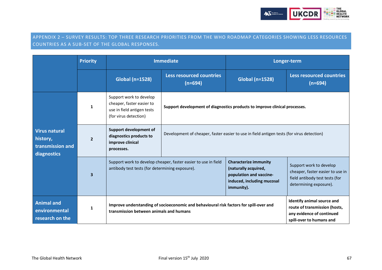

# <span id="page-66-0"></span>APPENDIX 2 – SURVEY RESULTS: TOP THREE RESEARCH PRIORITIES FROM THE WHO ROADMAP CATEGORIES SHOWING LESS RESOURCES COUNTRIES AS A SUB-SET OF THE GLOBAL RESPONSES.

|                                                                     | <b>Priority</b> | <b>Immediate</b>                                                                                                                  |                                                                                           | Longer-term                                                                                                                 |                                                                                                                         |
|---------------------------------------------------------------------|-----------------|-----------------------------------------------------------------------------------------------------------------------------------|-------------------------------------------------------------------------------------------|-----------------------------------------------------------------------------------------------------------------------------|-------------------------------------------------------------------------------------------------------------------------|
|                                                                     |                 | <b>Global (n=1528)</b>                                                                                                            | <b>Less resourced countries</b><br>$(n=694)$                                              | <b>Global (n=1528)</b>                                                                                                      | <b>Less resourced countries</b><br>$(n=694)$                                                                            |
| <b>Virus natural</b><br>history,<br>transmission and<br>diagnostics |                 | Support work to develop<br>cheaper, faster easier to<br>use in field antigen tests<br>(for virus detection)                       | Support development of diagnostics products to improve clinical processes.                |                                                                                                                             |                                                                                                                         |
|                                                                     | $\overline{2}$  | Support development of<br>diagnostics products to<br>improve clinical<br>processes.                                               | Development of cheaper, faster easier to use in field antigen tests (for virus detection) |                                                                                                                             |                                                                                                                         |
|                                                                     | $\mathbf{3}$    | Support work to develop cheaper, faster easier to use in field<br>antibody test tests (for determining exposure).                 |                                                                                           | <b>Characterize immunity</b><br>(naturally acquired,<br>population and vaccine-<br>induced, including mucosal<br>immunity). | Support work to develop<br>cheaper, faster easier to use in<br>field antibody test tests (for<br>determining exposure). |
| <b>Animal and</b><br>environmental<br>research on the               | 1               | Improve understanding of socioeconomic and behavioural risk factors for spill-over and<br>transmission between animals and humans |                                                                                           | Identify animal source and<br>route of transmission (hosts,<br>any evidence of continued<br>spill-over to humans and        |                                                                                                                         |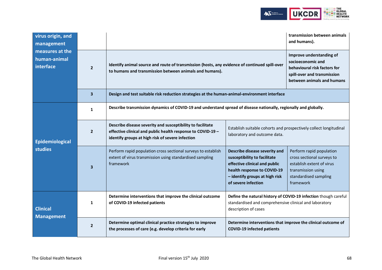

| virus origin, and<br>management              |                         |                                                                                                                                                                               | transmission between animals<br>and humans).                                                                                                                                           |                                                                                                                                                 |  |
|----------------------------------------------|-------------------------|-------------------------------------------------------------------------------------------------------------------------------------------------------------------------------|----------------------------------------------------------------------------------------------------------------------------------------------------------------------------------------|-------------------------------------------------------------------------------------------------------------------------------------------------|--|
| measures at the<br>human-animal<br>interface | $\overline{2}$          | Identify animal source and route of transmission (hosts, any evidence of continued spill-over<br>to humans and transmission between animals and humans).                      | Improve understanding of<br>socioeconomic and<br>behavioural risk factors for<br>spill-over and transmission<br>between animals and humans                                             |                                                                                                                                                 |  |
|                                              | $\overline{3}$          | Design and test suitable risk reduction strategies at the human-animal-environment interface                                                                                  |                                                                                                                                                                                        |                                                                                                                                                 |  |
| Epidemiological<br>studies                   | $\mathbf{1}$            | Describe transmission dynamics of COVID-19 and understand spread of disease nationally, regionally and globally.                                                              |                                                                                                                                                                                        |                                                                                                                                                 |  |
|                                              | $\overline{2}$          | Describe disease severity and susceptibility to facilitate<br>effective clinical and public health response to COVID-19 -<br>identify groups at high risk of severe infection | Establish suitable cohorts and prospectively collect longitudinal<br>laboratory and outcome data.                                                                                      |                                                                                                                                                 |  |
|                                              | $\overline{\mathbf{3}}$ | Perform rapid population cross sectional surveys to establish<br>extent of virus transmission using standardised sampling<br>framework                                        | Describe disease severity and<br>susceptibility to facilitate<br>effective clinical and public<br>health response to COVID-19<br>- identify groups at high risk<br>of severe infection | Perform rapid population<br>cross sectional surveys to<br>establish extent of virus<br>transmission using<br>standardised sampling<br>framework |  |
| <b>Clinical</b><br><b>Management</b>         | 1                       | Determine interventions that improve the clinical outcome<br>of COVID-19 infected patients                                                                                    | Define the natural history of COVID-19 infection though careful<br>standardised and comprehensive clinical and laboratory<br>description of cases                                      |                                                                                                                                                 |  |
|                                              | $\overline{2}$          | Determine optimal clinical practice strategies to improve<br>the processes of care (e.g. develop criteria for early                                                           | Determine interventions that improve the clinical outcome of<br><b>COVID-19 infected patients</b>                                                                                      |                                                                                                                                                 |  |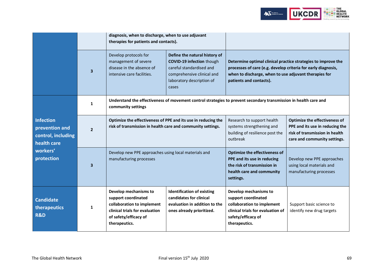

|                                                                                                   |                          | diagnosis, when to discharge, when to use adjuvant<br>therapies for patients and contacts).                                                            |                                                                                                                                                                   |                                                                                                                                                                                                                    |                                                                                                                                    |
|---------------------------------------------------------------------------------------------------|--------------------------|--------------------------------------------------------------------------------------------------------------------------------------------------------|-------------------------------------------------------------------------------------------------------------------------------------------------------------------|--------------------------------------------------------------------------------------------------------------------------------------------------------------------------------------------------------------------|------------------------------------------------------------------------------------------------------------------------------------|
|                                                                                                   | $\overline{\mathbf{3}}$  | Develop protocols for<br>management of severe<br>disease in the absence of<br>intensive care facilities.                                               | Define the natural history of<br><b>COVID-19 infection though</b><br>careful standardised and<br>comprehensive clinical and<br>laboratory description of<br>cases | Determine optimal clinical practice strategies to improve the<br>processes of care (e.g. develop criteria for early diagnosis,<br>when to discharge, when to use adjuvant therapies for<br>patients and contacts). |                                                                                                                                    |
|                                                                                                   | 1                        | community settings                                                                                                                                     |                                                                                                                                                                   | Understand the effectiveness of movement control strategies to prevent secondary transmission in health care and                                                                                                   |                                                                                                                                    |
| <b>Infection</b><br>prevention and<br>control, including<br>health care<br>workers'<br>protection | $\overline{\phantom{a}}$ | Optimize the effectiveness of PPE and its use in reducing the<br>risk of transmission in health care and community settings.                           |                                                                                                                                                                   | Research to support health<br>systems strengthening and<br>building of resilience post the<br>outbreak                                                                                                             | Optimize the effectiveness of<br>PPE and its use in reducing the<br>risk of transmission in health<br>care and community settings. |
|                                                                                                   | З                        | Develop new PPE approaches using local materials and<br>manufacturing processes                                                                        |                                                                                                                                                                   | <b>Optimize the effectiveness of</b><br>PPE and its use in reducing<br>the risk of transmission in<br>health care and community<br>settings.                                                                       | Develop new PPE approaches<br>using local materials and<br>manufacturing processes                                                 |
| <b>Candidate</b><br>therapeutics<br><b>R&amp;D</b>                                                | 1                        | Develop mechanisms to<br>support coordinated<br>collaboration to implement<br>clinical trials for evaluation<br>of safety/efficacy of<br>therapeutics. | <b>Identification of existing</b><br>candidates for clinical<br>evaluation in addition to the<br>ones already prioritized.                                        | Develop mechanisms to<br>support coordinated<br>collaboration to implement<br>clinical trials for evaluation of<br>safety/efficacy of<br>therapeutics.                                                             | Support basic science to<br>identify new drug targets                                                                              |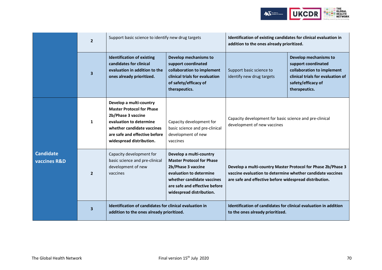

|                                             | $\overline{2}$          | Support basic science to identify new drug targets                                                                                                                                                      |                                                                                                                                                                                                              | Identification of existing candidates for clinical evaluation in<br>addition to the ones already prioritized.                                                                        |                                                                                                                                                        |
|---------------------------------------------|-------------------------|---------------------------------------------------------------------------------------------------------------------------------------------------------------------------------------------------------|--------------------------------------------------------------------------------------------------------------------------------------------------------------------------------------------------------------|--------------------------------------------------------------------------------------------------------------------------------------------------------------------------------------|--------------------------------------------------------------------------------------------------------------------------------------------------------|
|                                             | $\overline{\mathbf{3}}$ | <b>Identification of existing</b><br>candidates for clinical<br>evaluation in addition to the<br>ones already prioritized.                                                                              | Develop mechanisms to<br>support coordinated<br>collaboration to implement<br>clinical trials for evaluation<br>of safety/efficacy of<br>therapeutics.                                                       | Support basic science to<br>identify new drug targets                                                                                                                                | Develop mechanisms to<br>support coordinated<br>collaboration to implement<br>clinical trials for evaluation of<br>safety/efficacy of<br>therapeutics. |
|                                             | 1                       | Develop a multi-country<br><b>Master Protocol for Phase</b><br>2b/Phase 3 vaccine<br>evaluation to determine<br>whether candidate vaccines<br>are safe and effective before<br>widespread distribution. | Capacity development for<br>basic science and pre-clinical<br>development of new<br>vaccines                                                                                                                 | development of new vaccines                                                                                                                                                          | Capacity development for basic science and pre-clinical                                                                                                |
| <b>Candidate</b><br><b>vaccines R&amp;D</b> | $\overline{2}$          | Capacity development for<br>basic science and pre-clinical<br>development of new<br>vaccines                                                                                                            | Develop a multi-country<br><b>Master Protocol for Phase</b><br>2b/Phase 3 vaccine<br>evaluation to determine<br>whether candidate vaccines<br>are safe and effective before<br>widespread distribution.      | Develop a multi-country Master Protocol for Phase 2b/Phase 3<br>vaccine evaluation to determine whether candidate vaccines<br>are safe and effective before widespread distribution. |                                                                                                                                                        |
|                                             | $\mathbf{3}$            |                                                                                                                                                                                                         | Identification of candidates for clinical evaluation in addition<br>Identification of candidates for clinical evaluation in<br>addition to the ones already prioritized.<br>to the ones already prioritized. |                                                                                                                                                                                      |                                                                                                                                                        |